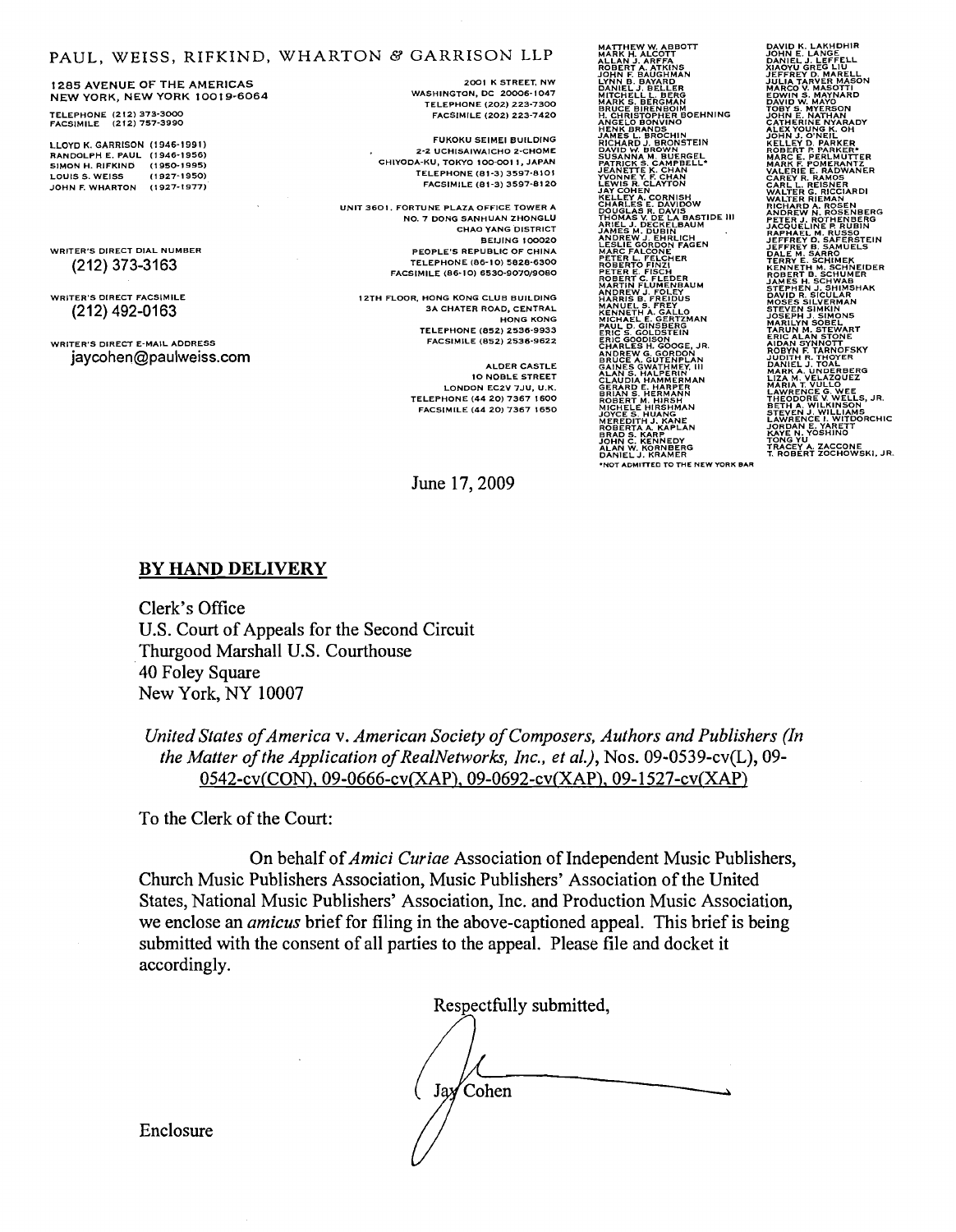#### PAUL, WEISS, RIFKIND, WHARTON B GARRISON LLP

1285 AVENUE OF THE AMERICAS NEW YORK, NEW YORK 1001 9-6064

TELEPHONE (2 12) 373-3000 FACSIMILE (212) 757-3990

LLOYD K. GARRISON (1946-1991) RANDOLPH E. PAUL (1 946-1956) SIMON H. RlFKlND (1950-1995) LOUIS 5. WElSS (1 827-1950) JOHN F. WHARTON (1927-1977)

WRITER'S DIRECT DIAL NUMBER (212) 373-3163

WRITER'S DIRECT FACSIMILE (212) 492-0163

WRITER'S DIRECT E-MAIL ADDRESS jaycohen@paulweiss.com

2001 K STREET. NW WASHINGTON, DC 20006-1047<br>TELEPHONE (202) 223-7300 FACSIMILE (202) 223-7420

FUKOKU SElMEl BUILDING 2-2 UCHISAIWAICHO z-CHOME CHIYODA-KU. TOKYO 100-001 1, JAPAN TELEPHONE (61-3) 3597-8101 FACSIMILE (61-3) 3597-81 20

UNIT 3601. FORTUNE PLAZA OFFICE TOWER A NO. 7 DONG SANHUAN ZHONGLU CHAO YANG DISTRICT BElJlNG 100020 PEOPLE'S REPUBLIC OF CHINA TELEPHONE (86-1 0) 5828-6300 FACSIMILE (86-10) 6530-9070/9080

IZTH FLOOR. HONG KONG CLUB BUILDING 3A CHATER ROAD, CENTRAL HONG KONG TELEPHONE (652) 2536-9933 FACSIMILE (852) 2536-9622

June 17,2009

**ALDER CASTLE** 10 NOBLE STREET LONDON EC2V 7JU, U.K. TELEPHONE (44 20) 7367 1600 FACSIMILE (44 20) 7367 1650 **MATTHEW W. ABBOTT<br>MARK H. ALCOTT<br>ALLAN J. ARFFA<br>JOBRET A. ATKINS<br>JOBRET BAUGHMAN<br>JAME E. BAUGHMAN<br>DANELL, BELLEG<br>BAUCE BIREVIER BOEHNING<br>BAUCE BIREVIER BOEHNING<br>ANGELO BONVINO<br>ANGELO BONVINO<br>ARGELO BONVINO<br>JAMES L. BROCHI** KELLEY A. CORNISH<br>CHARLES E. DAVISOW<br>DOUGLAS R. DAVIS<br>THOMAS V. DE LA BASTIDE 111<br>ARIEL J. DECKELBAUM<br>ARIEL J. DECKELBAUM<br>ARIEL GORDON FAGEN<br>LESLIE GORDON FAGEN<br>MARC FALCONE<br>LESLIE GORDON FAGEN PETER L. FELCHER<br>ROBERTO FINZI<br>PETER E. FISCH<br>ROBERT C. FLEDER<br>MARTIN FLUMENBAUM ANDREW J. FOLEY<br>HARRIS B. FREIDUS<br>MANUEL S. FREY MICHAEL E. GERTZMAN<br>PAUL D. GINSBERG<br>ERIC S. GOLDSTEIN<br>ERIC GOODISON<br>ERIC GOODISON<br>ERIC GOODISON<br>SRUCE X, GUTENPLAN<br>SRUCE X, GUTENPLAN<br>SRUCE X, GUTENPLAN<br>SRAND S. HALPERIN<br>ROBERT M. HARPER<br>ROBERT M. HARPER<br>ROBERT M. HARPER

**DAVID K. LAKHDHIR<br>DAVID K. LANGE<br>VANIEL J. LEFFELL<br>VANOYU GREG LIU<br>JULIA TARVER MASON<br>JULIA TARVER MASON<br>BOWIN S. MAYNARD<br>EDWIN S. MAYNARD<br>JOHN J. O'NER, MARADY<br>CATHERINE NYARADY<br>CATHERINE NYARADY<br>ALEX YOUNG K. OH** KELLEY D. PARKER\*<br>KELLEY D. PARKER\*<br>MARC E. PERLMUTTER<br>MARC E. PERLMUTTER<br>VALERIE E. RAMOS<br>CAREY R. REISNER<br>WALTER G. RICCLARDI<br>WALTER G. RICCLARD<br>WALTER RIEMAN<sub>T W</sub> ANDREW N. ROSENIBERG<br>ANDREW N. ROSENBERG<br>PETER J. ROTHENBERG<br>RAFHAEL M. RUSSO<br>RAFHAEL M. RUSSO<br>JEAFFREY D. SAFERSTEIN<br>JEAFFREY D. SAFERSTEIN<br>JEAFFREY D. SAFERSTEIN<br>JEAFFREY D. SCHIMBER<br>KENNETHEN. SCHIMBER<br>N. REIPER SCULAR<br>

NOT ADMITTED TO THE NEW YORK BAR

Clerk's Office U.S. Court of Appeals for the Second Circuit Thurgood Marshall U.S. Courthouse 40 Foley Square New York, NY 10007

*United States of America* v. *American Society of Composers, Authors and Publishers (In the Matter of the Application of RealNetwork, Inc., et al.),* Nos. 09-0539-cv(L), 09- 0542-cv(CON), 09-0666-cv(XAP), 09-0692-cv(XAP), 09-1527-cv(XAP)

To the Clerk of the Court:

**BY HAND DELIVERY** 

On behalf of *Amici Curiae* Association of Independent Music Publishers, Church Music Publishers Association, Music Publishers' Association of the United States, National Music Publishers' Association, Inc. and Production Music Association, we enclose an *amicus* brief for filing in the above-captioned appeal. This brief is being submitted with the consent of all parties to the appeal. Please file and docket it accordingly.

Respectfully submitted, Jay Cohen

Enclosure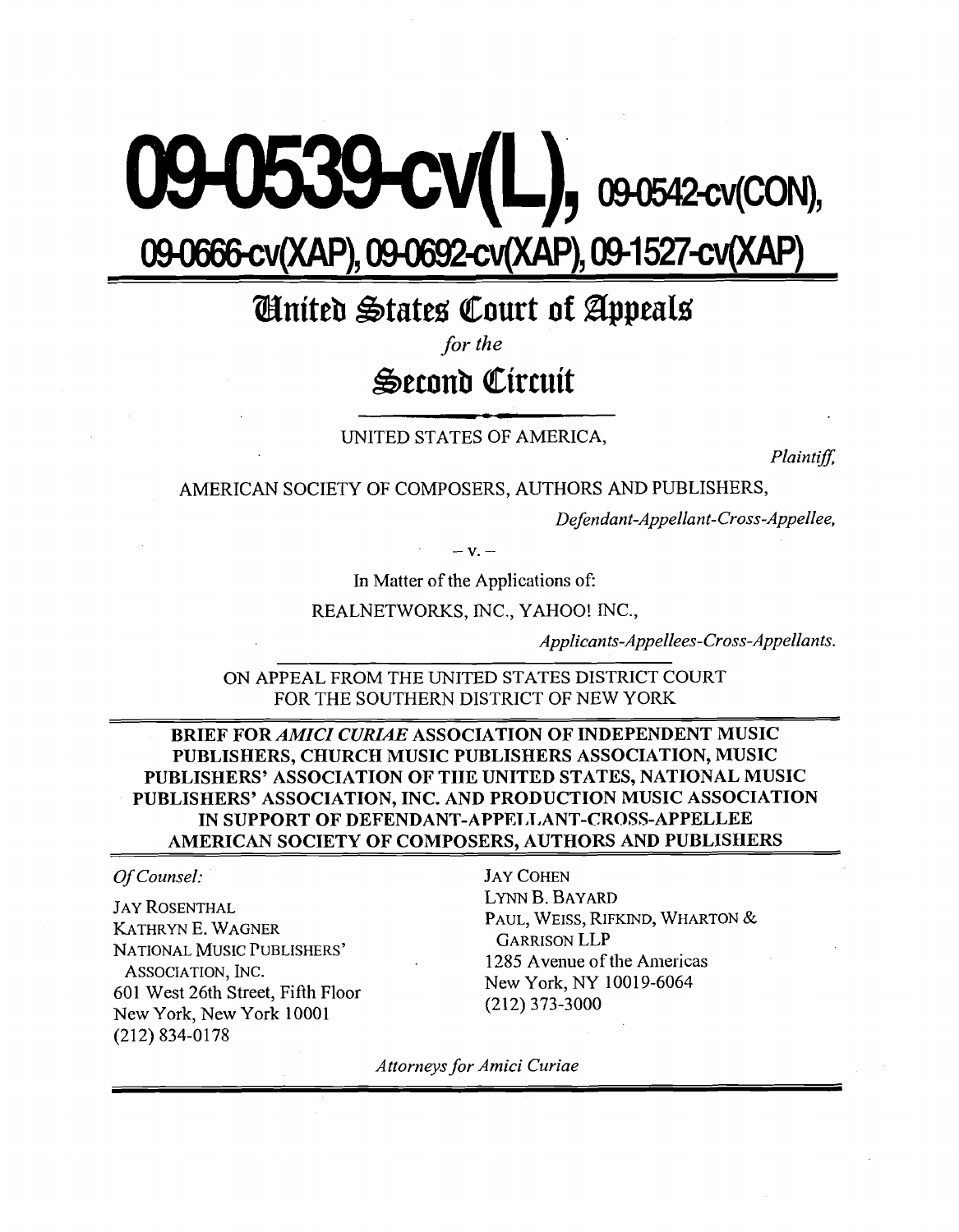# $9$  CV(L), 09-0542-cv(CON), 09-0666-cv(XAP), 09-0692-cv(XAP), 09-1527-cv(XAP)

## *<u>Chnited States Court of Appeals</u>*

*for the* 

## **Seronb Cirruit**

UNITED STATES OF AMERICA,

Plaintiff,

AMERICAN SOCIETY OF COMPOSERS, AUTHORS AND PUBLISHERS,

Defendant-Appellant-Cross-Appellee,

In Matter of the Applications of:

REALNETWORKS, INC., YAHOO! INC.,

Applicants-Appellees-Cross-Appellants.

ON APPEAL FROM THE UNITED STATES DISTRICT COURT FOR THE SOUTHERN DISTRICT OF NEW YORK

**BRIEF FOR** *AMICI CURIAE* **ASSOCIATION OF INDEPENDENT MUSIC PUBLISHERS, CHURCH MUSIC PUBLISHERS ASSOCIATION, MUSIC PUBLISEIERS' ASSOCIATION OF TIIE UNITED STATES, NATIONAL MUSIC PUBLISHERS' ASSOCIATION, INC. AND PRODUCTION MUSIC ASSOCIATION**  IN SUPPORT OF DEFENDANT-APPELLANT-CROSS-APPELLEE **AMERICAN SOCIETY OF COMPOSERS. AUTHORS AND PUBLISHERS** 

#### Of Counsel: JAY COHEN

JAY ROSENTHAL KATHRYN E. WAGNER NATIONAL MUSIC PUBLISHERS' ASSOCIATION, INC. 601 West 26th Street, Fiflh Floor New York, New York 10001 (212) 834-0178

LYNN B. BAYARD PAUL, WEISS, RIFKIND, WHARTON & GARRISON LLP 1285 Avenue of the Americas New York, NY 10019-6064 (212) 373-3000

Attorneys for Amici Curiae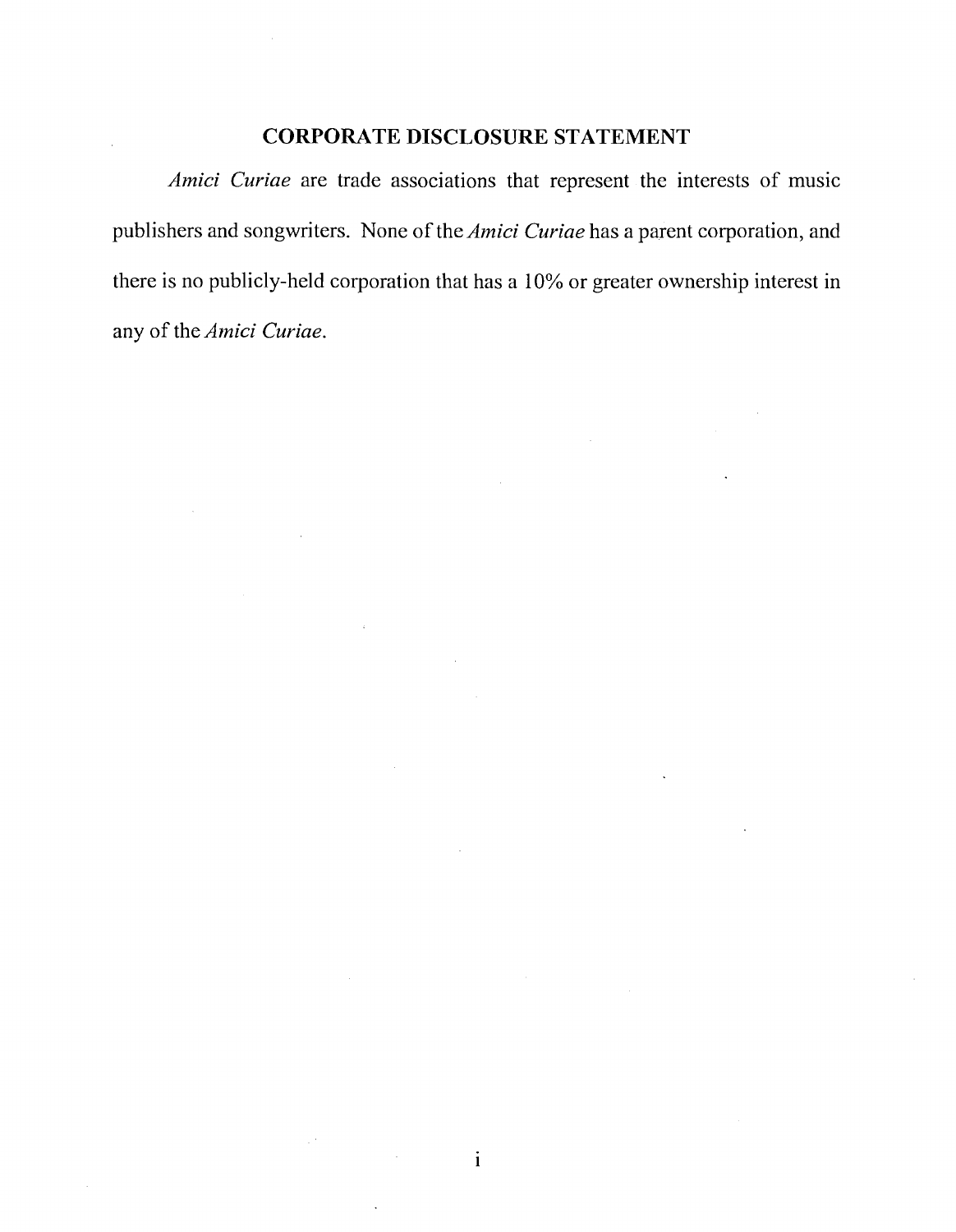#### **CORPORATE DISCLOSURE STATEMENT**

*Amici Curiae* are trade associations that represent the interests of music publishers and songwriters. None of the *Amici Curiae* has a parent corporation, and there is no publicly-held corporation that has a 10% or greater ownership interest in any of the *Amici Curiae.* 

 $\mathbf{i}$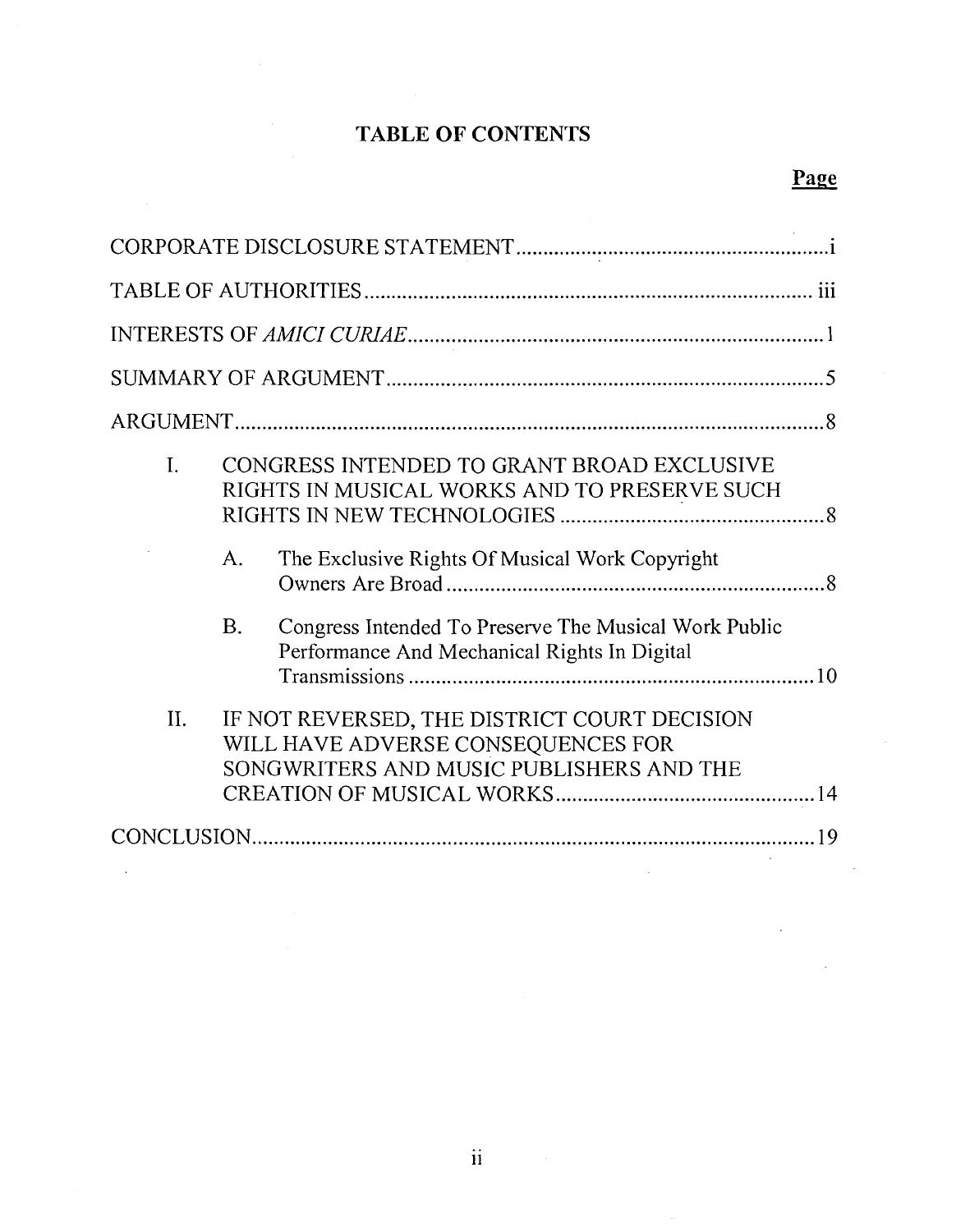## **TABLE OF CONTENTS**

| I.<br>CONGRESS INTENDED TO GRANT BROAD EXCLUSIVE<br>RIGHTS IN MUSICAL WORKS AND TO PRESERVE SUCH<br>The Exclusive Rights Of Musical Work Copyright<br>A.<br><b>B.</b><br>Congress Intended To Preserve The Musical Work Public<br>Performance And Mechanical Rights In Digital |
|--------------------------------------------------------------------------------------------------------------------------------------------------------------------------------------------------------------------------------------------------------------------------------|
| II.<br>IF NOT REVERSED, THE DISTRICT COURT DECISION<br>WILL HAVE ADVERSE CONSEQUENCES FOR<br>SONGWRITERS AND MUSIC PUBLISHERS AND THE                                                                                                                                          |
|                                                                                                                                                                                                                                                                                |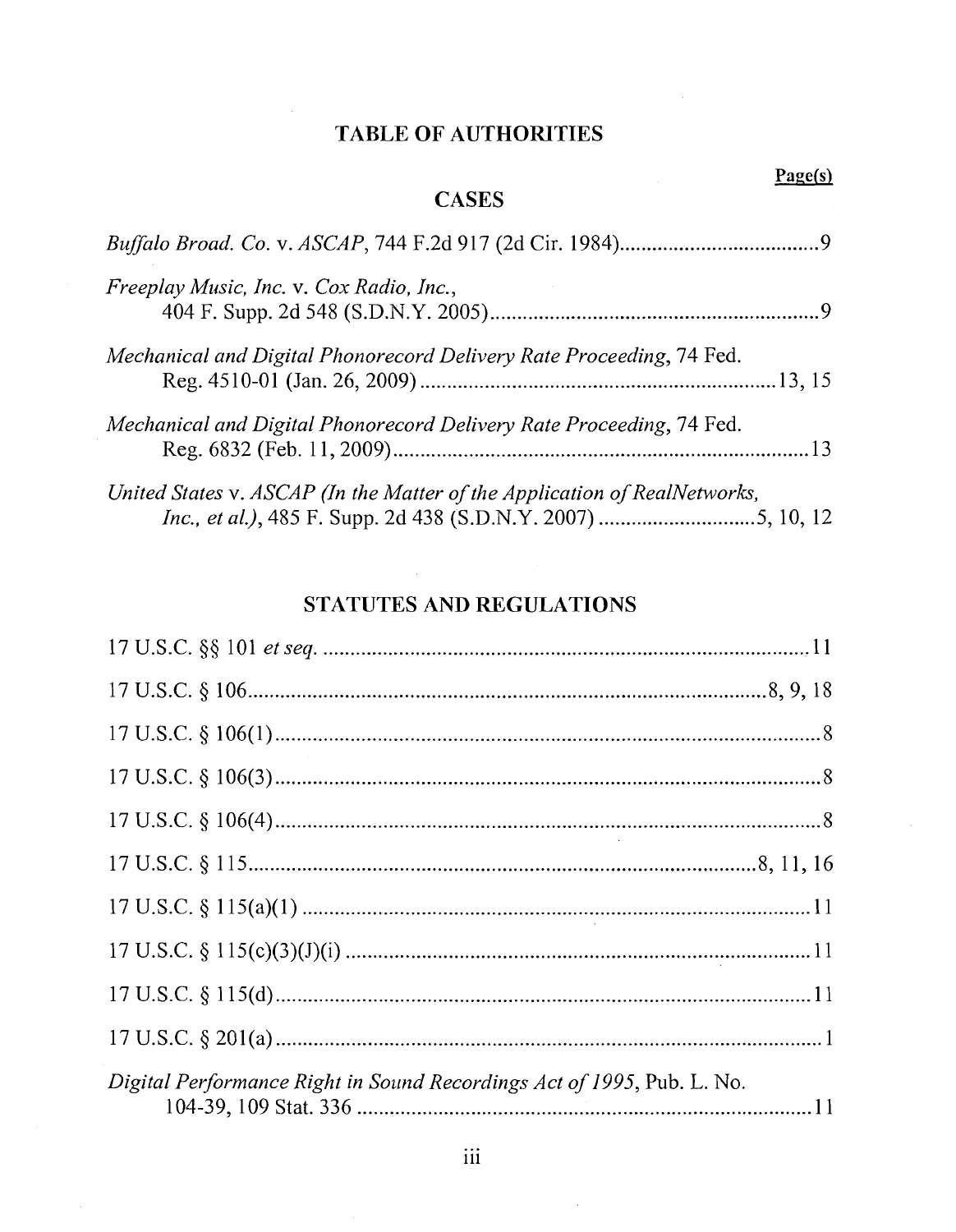### **TABLE OF AUTHORITIES**

| <b>CASES</b>                                                              | Page(s) |
|---------------------------------------------------------------------------|---------|
|                                                                           |         |
| Freeplay Music, Inc. v. Cox Radio, Inc.,                                  |         |
| Mechanical and Digital Phonorecord Delivery Rate Proceeding, 74 Fed.      |         |
| Mechanical and Digital Phonorecord Delivery Rate Proceeding, 74 Fed.      |         |
| United States v. ASCAP (In the Matter of the Application of RealNetworks, |         |

#### **STATUTES AND REGULATIONS**

 $\mathbf{r}$ 

| Digital Performance Right in Sound Recordings Act of 1995, Pub. L. No. |  |
|------------------------------------------------------------------------|--|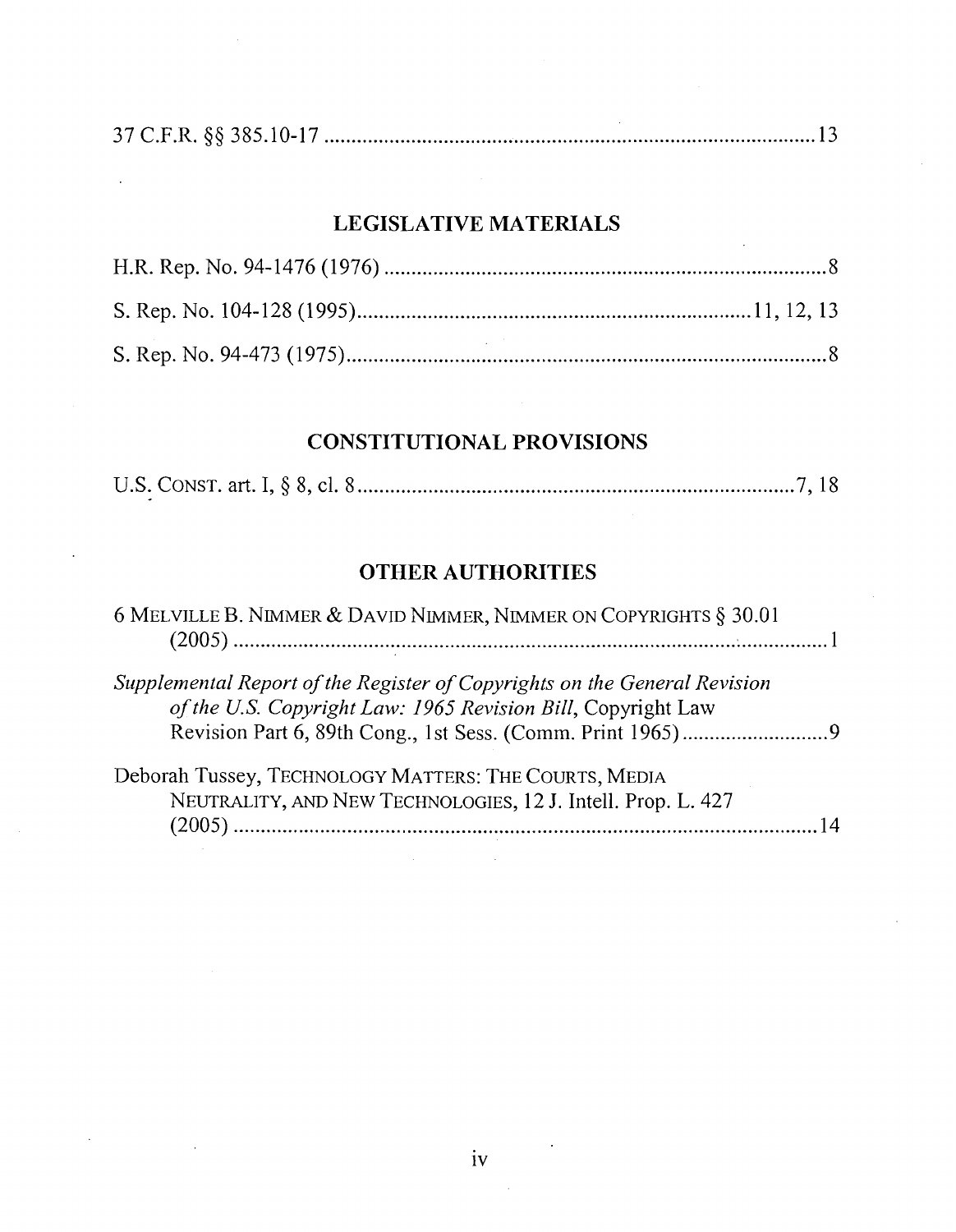#### **LEGISLATIVE MATERIALS**

## **CONSTITUTIONAL PROVISIONS**

|--|--|--|--|--|

#### **OTHER AUTHORITIES**

| 6 MELVILLE B. NIMMER & DAVID NIMMER, NIMMER ON COPYRIGHTS § 30.01                                                                         |
|-------------------------------------------------------------------------------------------------------------------------------------------|
| Supplemental Report of the Register of Copyrights on the General Revision<br>of the U.S. Copyright Law: 1965 Revision Bill, Copyright Law |
| Deborah Tussey, TECHNOLOGY MATTERS: THE COURTS, MEDIA<br>NEUTRALITY, AND NEW TECHNOLOGIES, 12 J. Intell. Prop. L. 427<br>(2005)           |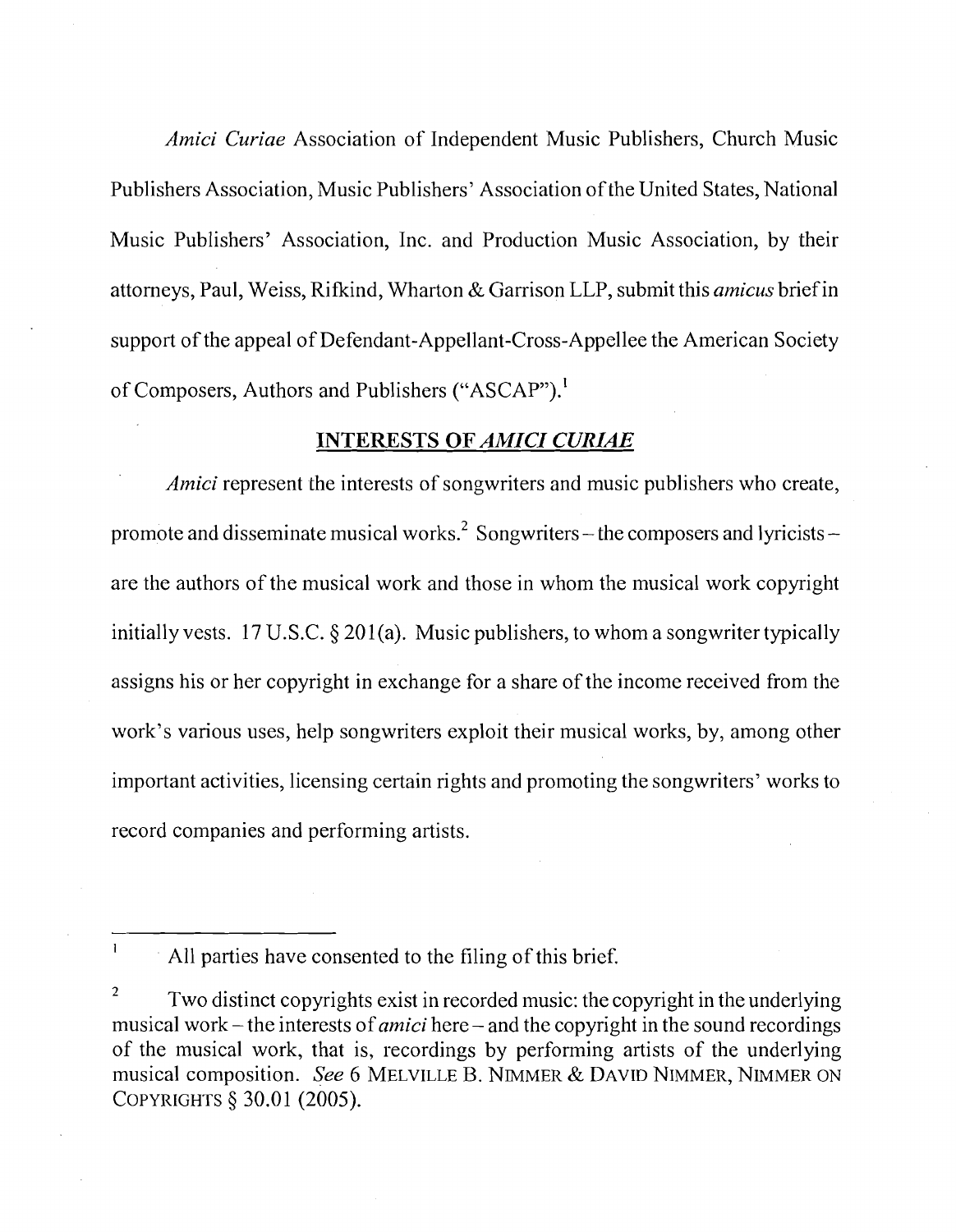*Amici Curiae* Association of Independent Music Publishers, Church Music Publishers Association, Music Publishers' Association of the United States, National Music Publishers' Association, Inc. and Production Music Association, by their attorneys, Paul, Weiss, Rifkind, Wharton & Garrison LLP, submit this *amicus* brief in support of the appeal of Defendant-Appellant-Cross-Appellee the American Society of Composers, Authors and Publishers ("ASCAP").<sup>1</sup>

#### *INTERESTS OF AMICI CURIAE*

*Amici* represent the interests of songwriters and music publishers who create, promote and disseminate musical works.<sup>2</sup> Songwriters – the composers and lyricists – are the authors of the musical work and those in whom the musical work copyright initially vests. 17 U.S.C. § 201(a). Music publishers, to whom a songwriter typically assigns his or her copyright in exchange for a share of the income received from the work's various uses, help songwriters exploit their musical works, by, among other important activities, licensing certain rights and promoting the songwriters' works to record companies and performing artists.

**<sup>1</sup>**All parties have consented to the filing of this brief.

<sup>2</sup>Two distinct copyrights exist in recorded music: the copyright in the underlying musical work – the interests of *amici* here – and the copyright in the sound recordings of the musical work, that is, recordings by performing artists of the underlying musical composition. *See* 6 MELVILLE *B.* NIMMER & DAVID NIMMER, NIMMER ON COPYRIGHTS *5* 30.01 (2005).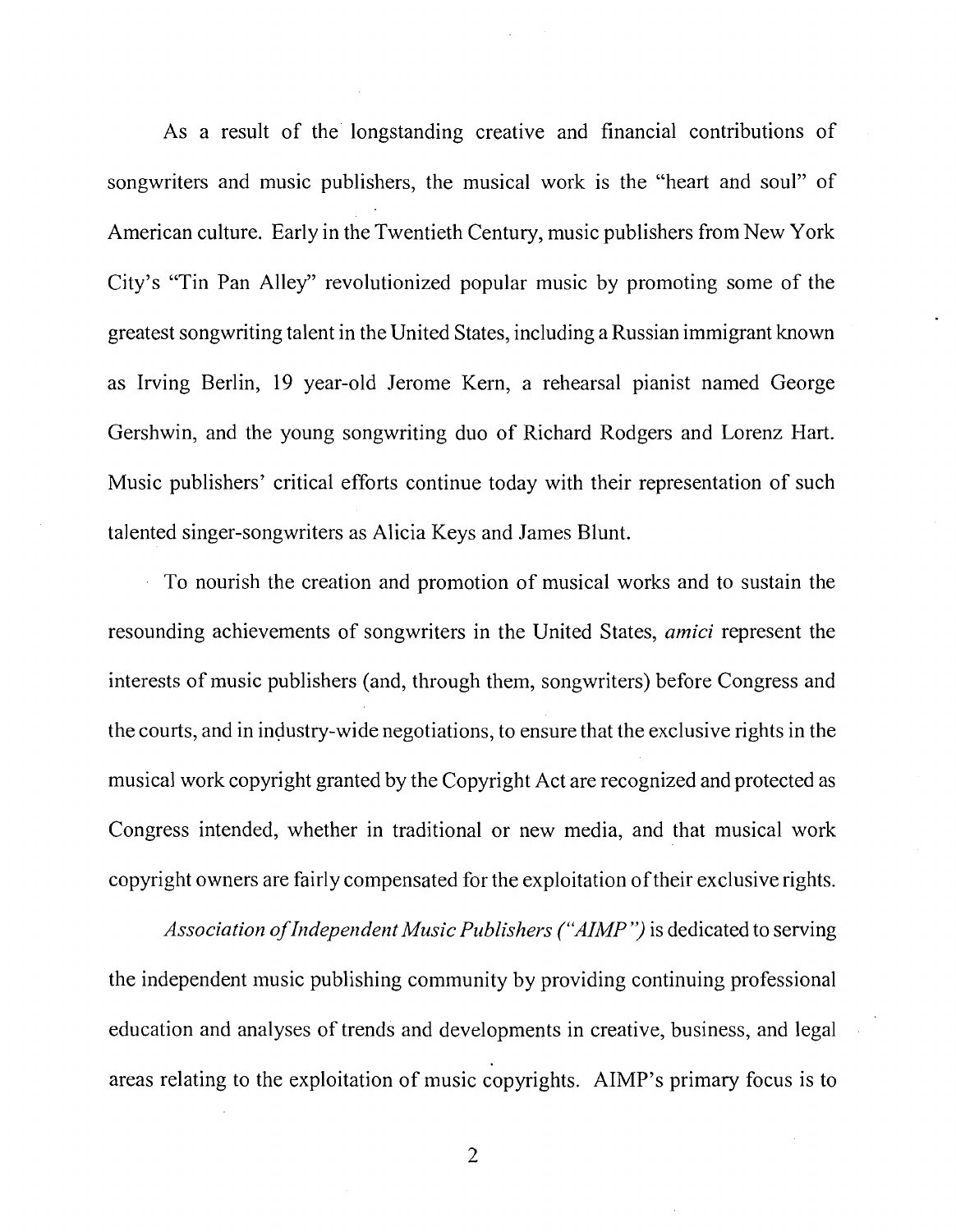As a result of the' longstanding creative and financial contributions of songwriters and music publishers, the musical work is the "heart and soul" of American culture. Early in the Twentieth Century, music publishers from New York City's "Tin Pan Alley" revolutionized popular music by promoting some of the greatest songwriting talent in the United States, including a Russian immigrant known as Irving Berlin, 19 year-old Jerome Kern, a rehearsal pianist named George Gershwin, and the young songwriting duo of Richard Rodgers and Lorenz Hart. Music publishers' critical efforts continue today with their representation of such talented singer-songwriters as Alicia Keys and James Blunt.

To nourish the creation and promotion of musical works and to sustain the resounding achievements of songwriters in the United States, *amici* represent the interests of music publishers (and, through them, songwriters) before Congress and the courts, and in industry-wide negotiations, to ensure that the exclusive rights in the musical work copyright granted by the Copyright Act are recognized and protected as Congress intended, whether in traditional or new media, and that musical work copyright owners are fairly compensated for the exploitation of their exclusive rights.

*Association of Independent Music Publishers ("AIMP")* is dedicated to serving the independent music publishing community by providing continuing professional education and analyses of trends and developments in creative, business, and legal areas relating to the exploitation of music copyrights. AIMP's primary focus is to

 $\overline{2}$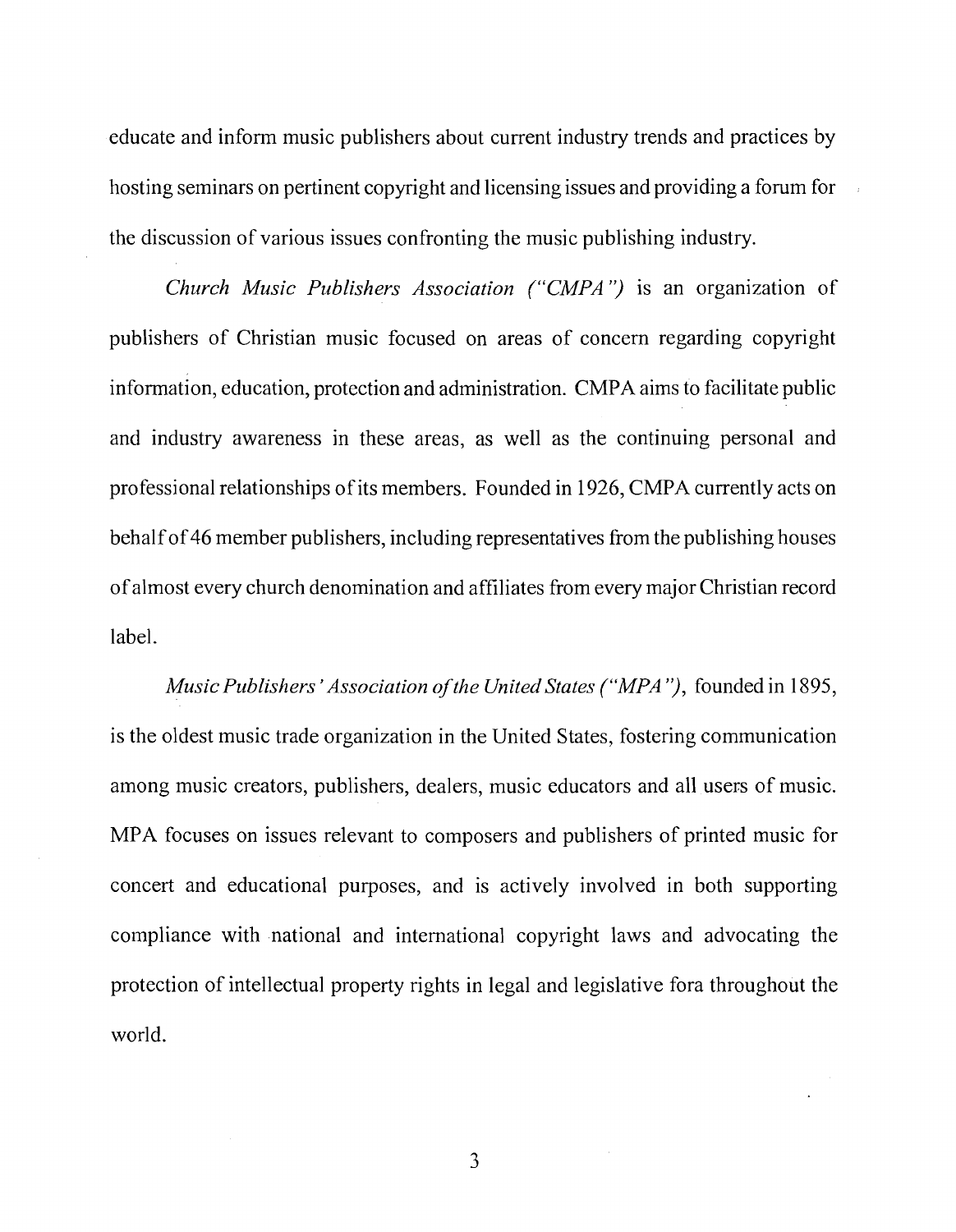educate and inform music publishers about current industry trends and practices by hosting seminars on pertinent copyright and licensing issues and providing a forum for the discussion of various issues confronting the music publishing industry.

*Church Music Publishers Association ("CMPA")* is an organization of publishers of Christian music focused on areas of concern regarding copyright information, education, protection and administration. CMPA aims to facilitate public and industry awareness in these areas, as well as the continuing personal and professional relationships of its members. Founded in 1926, CMPA currently acts on behalf of 46 member publishers, including representatives from the publishing houses of almost every church denomination and affiliates from every major Christian record label.

*Music Publishers' Association of the United States ("MPA")*, founded in 1895, is the oldest music trade organization in the United States, fostering communication among music creators, publishers, dealers, music educators and all users of music. MPA focuses on issues relevant to composers and publishers of printed music for concert and educational purposes, and is actively involved in both supporting compliance with national and international copyright laws and advocating the protection of intellectual property rights in legal and legislative fora throughout the world.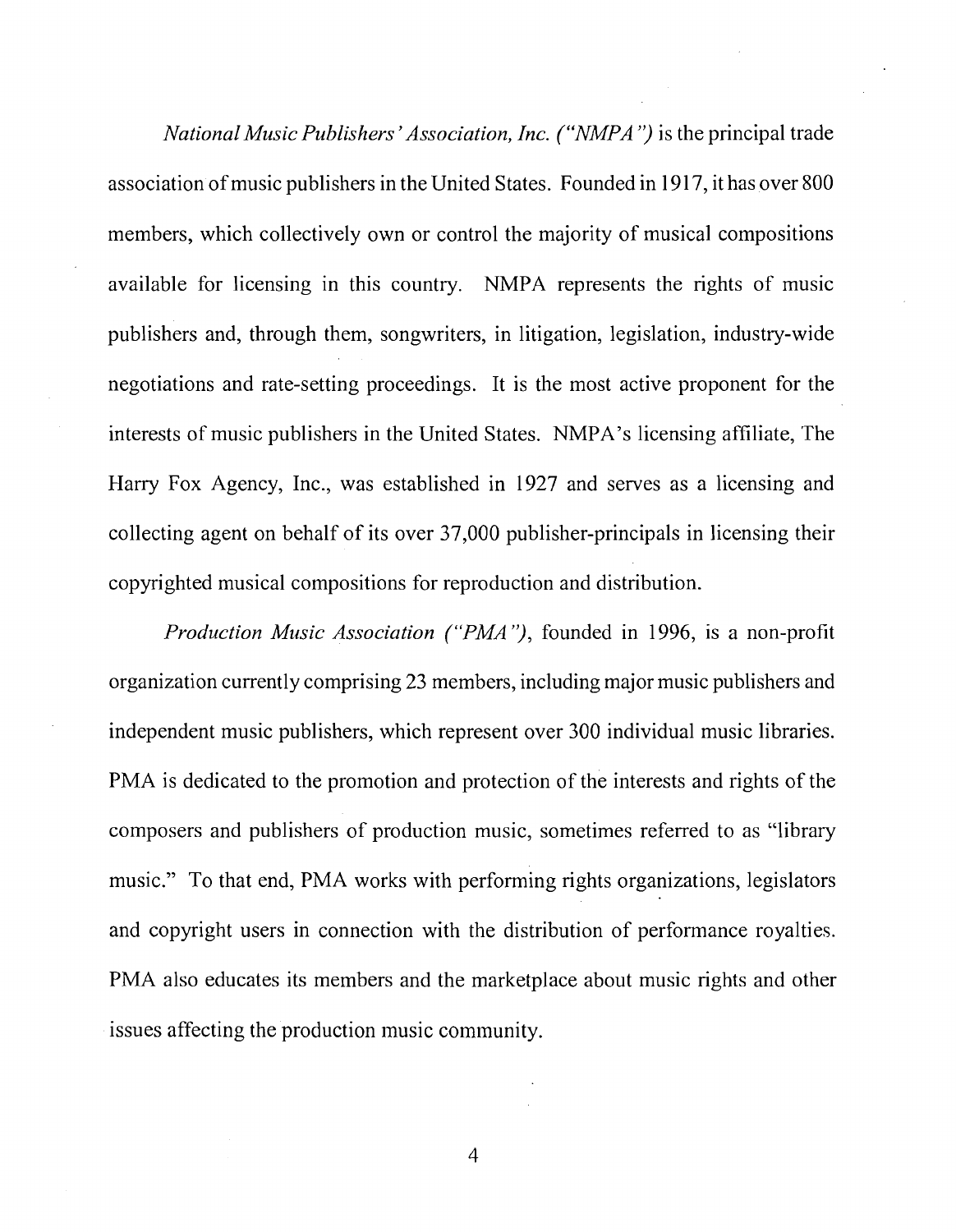*National Music Publishers' Association, Inc. ("NMPA")* is the principal trade association of music publishers in the United States. Founded in 1917, it has over 800 members, which collectively own or control the majority of musical compositions available for licensing in this country. NMPA represents the rights of music publishers and, through them, songwriters, in litigation, legislation, industry-wide negotiations and rate-setting proceedings. It is the most active proponent for the interests of music publishers in the United States. NMPA's licensing affiliate, The Harry Fox Agency, Inc., was established in 1927 and serves as a licensing and collecting agent on behalf of its over 37,000 publisher-principals in licensing their copyrighted musical compositions for reproduction and distribution.

*Production Music Association ("PMA")*, founded in 1996, is a non-profit organization currently comprising 23 members, including major music publishers and independent music publishers, which represent over 300 individual music libraries. PMA is dedicated to the promotion and protection of the interests and rights of the composers and publishers of production music, sometimes referred to as "library music." To that end, PMA works with performing rights organizations, legislators and copyright users in connection with the distribution of performance royalties. PMA also educates its members and the marketplace about music rights and other issues affecting the production music community.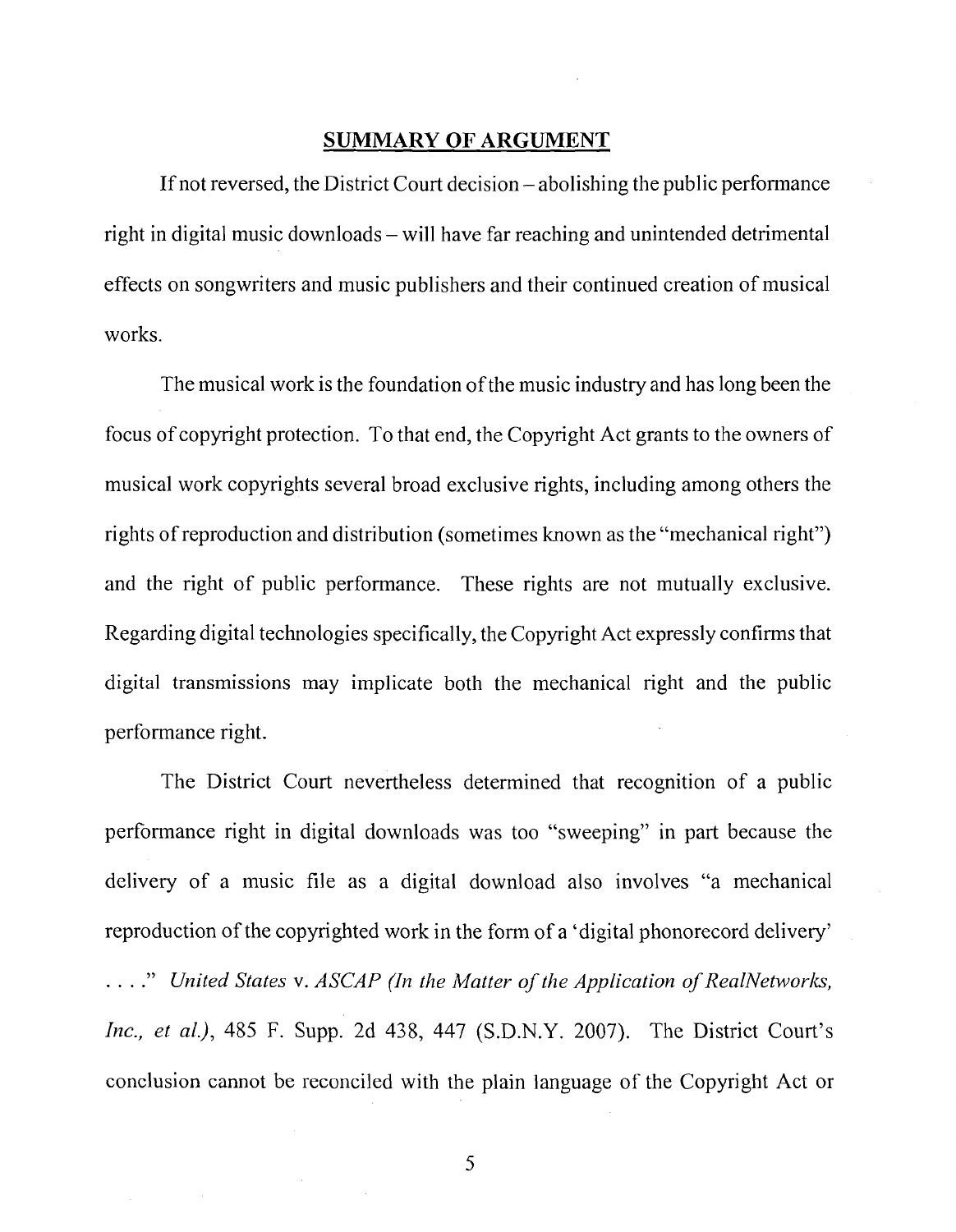#### **SUMMARY OF ARGUMENT**

If not reversed, the District Court decision – abolishing the public performance right in digital music downloads – will have far reaching and unintended detrimental effects on songwriters and music publishers and their continued creation of musical works.

The musical work is the foundation of the music industry and has long been the focus of copyright protection. To that end, the Copyright Act grants to the owners of musical work copyrights several broad exclusive rights, including among others the rights of reproduction and distribution (sometimes known as the "mechanical right") and the right of public performance. These rights are not mutually exclusive. Regarding digital technologies specifically, the Copyright Act expressly confirms that digital transmissions may implicate both the mechanical right and the public performance right.

The District Court nevertheless determined that recognition of a public performance right in digital downloads was too "sweeping" in part because the delivery of a music file as a digital download also involves "a mechanical reproduction of the copyrighted work in the form of a 'digital phonorecord delivery' ...." *United States v. ASCAP (In the Matter of the Application of RealNetworks, Inc., et al.),* 485 *F.* Supp. 2d 438, 447 (S.D.N.Y. 2007). The District Court's conclusion cannot be reconciled with the plain language of the Copyright Act or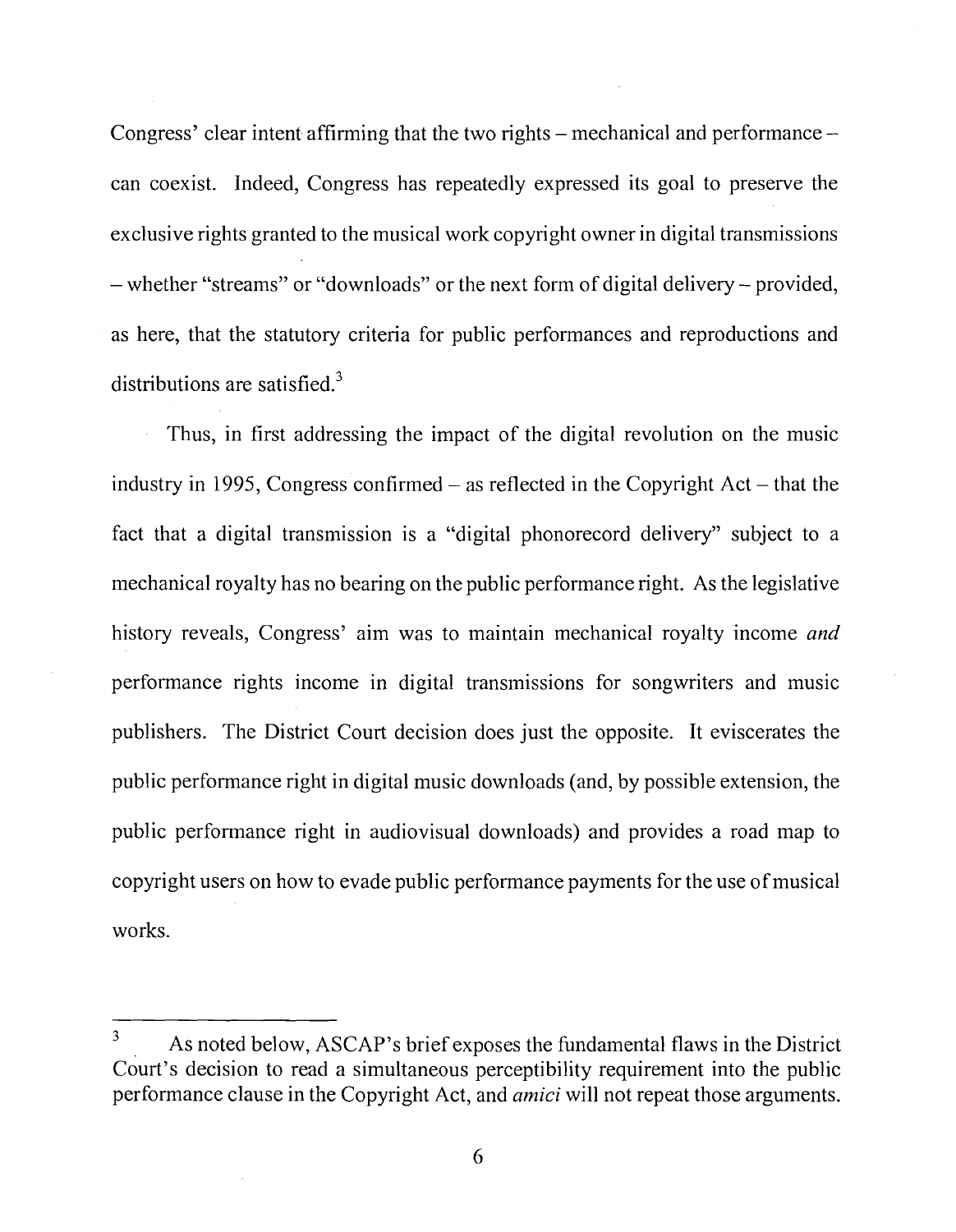Congress' clear intent affirming that the two rights  $-$  mechanical and performance  $$ can coexist. Indeed, Congress has repeatedly expressed its goal to preserve the exclusive rights granted to the musical work copyright owner in digital transmissions - whether "streams" or "downloads" or the next form of digital delivery - provided, as here, that the statutory criteria for public performances and reproductions and distributions are satisfied. $3$ 

Thus, in first addressing the impact of the digital revolution on the music industry in 1995, Congress confirmed  $-$  as reflected in the Copyright Act  $-$  that the fact that a digital transmission is a "digital phonorecord delivery" subject to a mechanical royalty has no bearing on the public performance right. As the legislative history reveals, Congress' aim was to maintain mechanical royalty income *and*  performance rights income in digital transmissions for songwriters and music publishers. The District Court decision does just the opposite. It eviscerates the public performance right in digital music downloads (and, by possible extension, the public performance right in audiovisual downloads) and provides a road map to copyright users on how to evade public performance payments for the use of musical works.

As noted below, ASCAP's brief exposes the fundamental flaws in the District court's decision to read a simultaneous perceptibility requirement into the public performance clause in the Copyright Act, and **amici** will not repeat those arguments.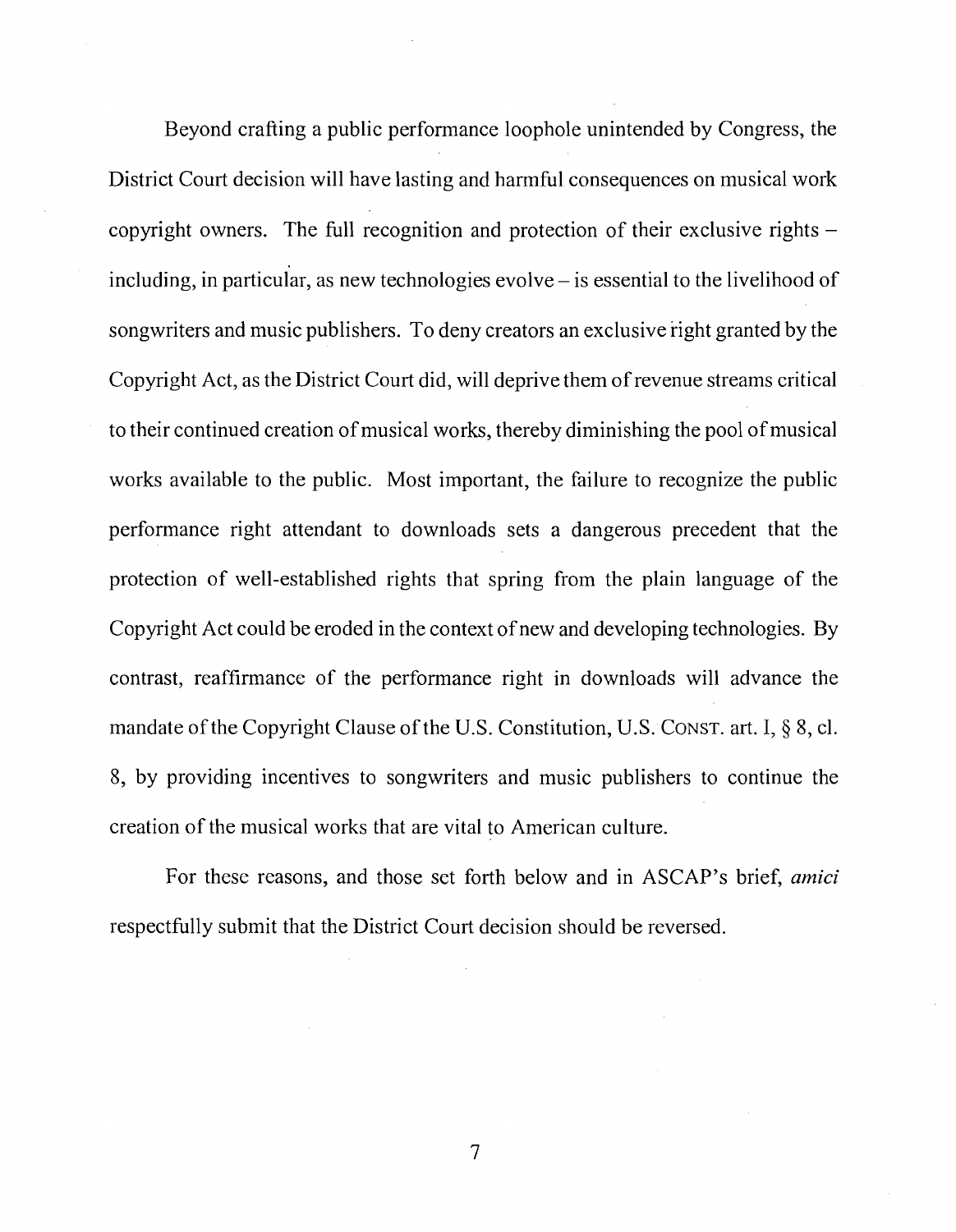Beyond crafting a public performance loophole unintended by Congress, the District Court decision will have lasting and harmful consequences on musical work copyright owners. The full recognition and protection of their exclusive rights including, in particular, as new technologies evolve  $-$  is essential to the livelihood of songwriters and music publishers. To deny creators an exclusive right granted by the Copyright Act, as the District Court did, will deprive them of revenue streams critical to their continued creation of musical works, thereby diminishing the pool of musical works available to the public. Most important, the failure to recognize the public performance right attendant to downloads sets a dangerous precedent that the protection of well-established rights that spring from the plain language of the Copyright Act could be eroded in the context of new and developing technologies. By contrast, reaffirmance of the performance right in downloads will advance the mandate of the Copyright Clause of the U.S. Constitution, U.S. Constr. art. I,  $\S$  8, cl. 8, by providing incentives to songwriters and music publishers to continue the creation of the musical works that are vital to American culture.

For these reasons, and those set forth below and in ASCAP's brief, *amici*  respectfully submit that the District Court decision should be reversed.

 $\overline{7}$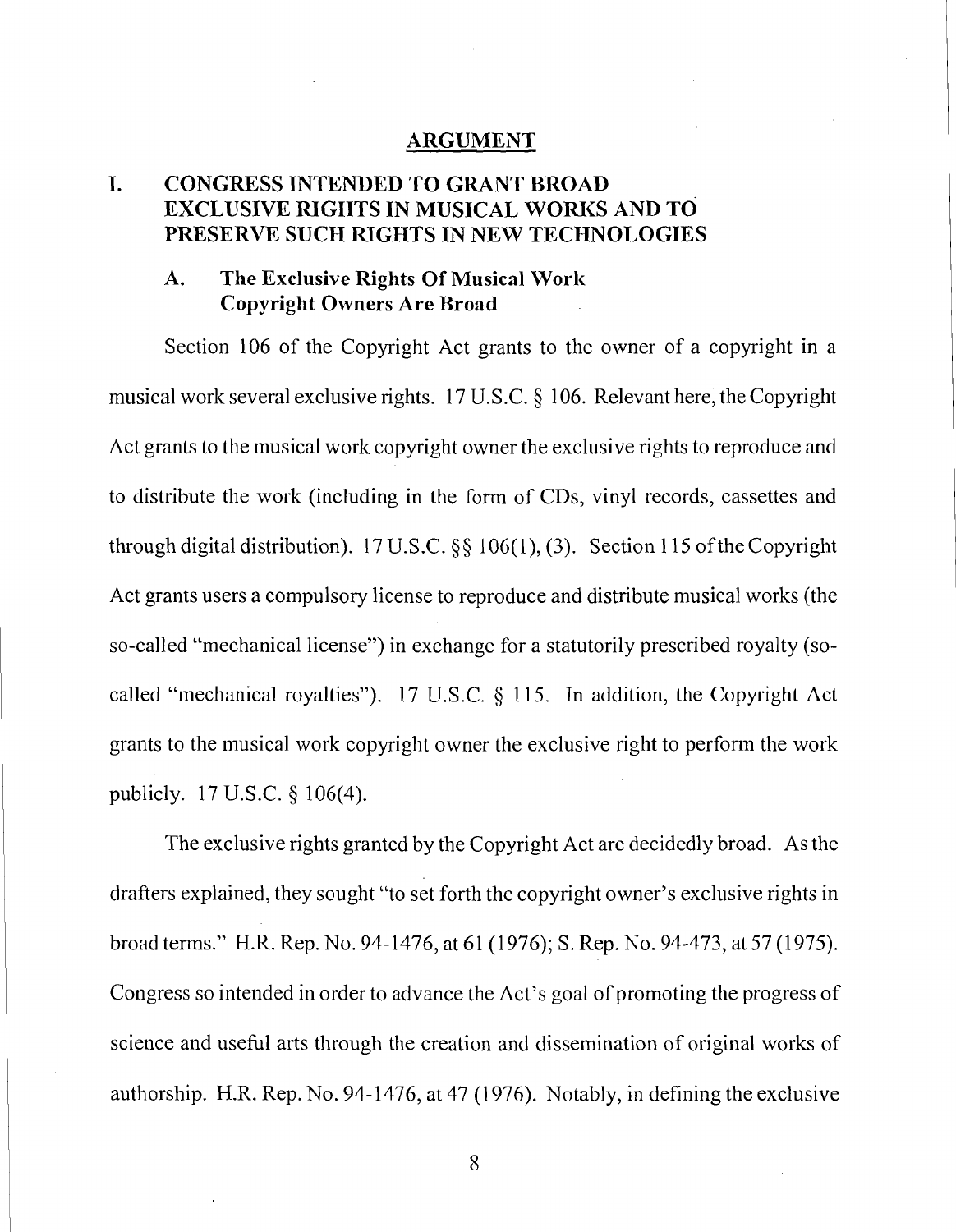#### **ARGUMENT**

#### **I. CONGRESS INTENDED TO GRANT BROAD EXCLUSIVE NGHTS IN MUSICAL WORKS AND TO PRESERVE SUCH RIGHTS IN NEW TECHNOLOGIES**

#### **A. The Exclusive Rights Of Musical Work Copyright Owners Are Broad**

Section 106 of the Copyright Act grants to the owner of a copyright in a musical work several exclusive rights. 17 U.S.C. *5* 106. Relevant here, the Copyright Act grants to the musical work copyright owner the exclusive rights to reproduce and to distribute the work (including in the form of CDs, vinyl records, cassettes and through digital distribution). 17 U.S.C. §§ 106(1), (3). Section 115 of the Copyright Act grants users a compulsory license to reproduce and distribute musical works (the so-called "mechanical license") in exchange for a statutorily prescribed royalty (socalled "mechanical royalties"). 17 U.S.C. § 115. In addition, the Copyright Act grants to the musical work copyright owner the exclusive right to perform the work publicly. 17 U.S.C. § 106(4).

The exclusive rights granted by the Copyright Act are decidedly broad. As the drafters explained, they sought "to set forth the copyright owner's exclusive rights in broad terns." H.R. Rep. No. 94-1476, at 61 (1976); S. Rep. No. 94-473, at 57 (1975). Congress so intended in order to advance the Act's goal of promoting the progress of science and useful arts through the creation and dissemination of original works of authorship. H.R. Rep. No. 94-1476, at 47 (1976). Notably, in defining the exclusive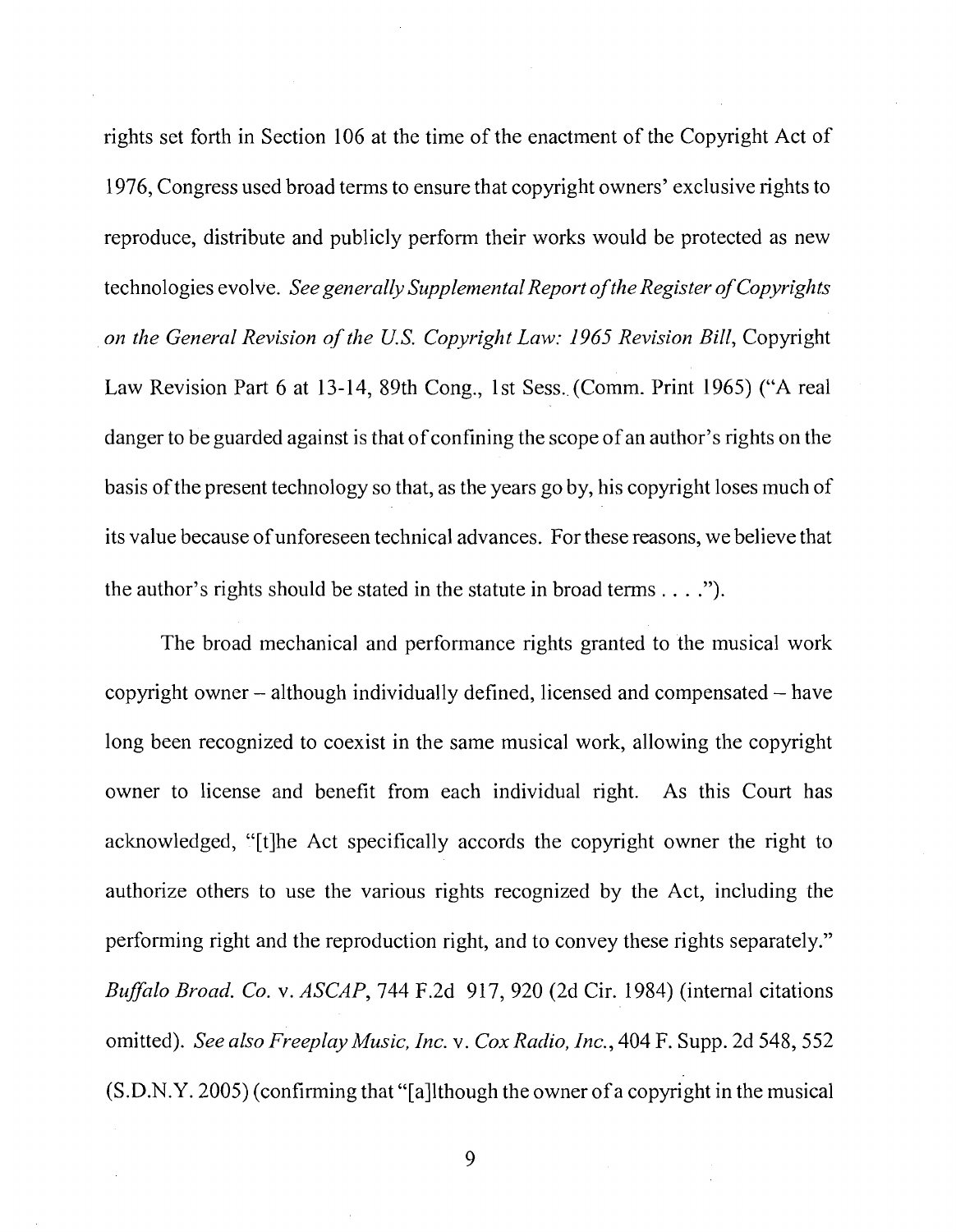rights set forth in Section 106 at the time of the enactment of the Copyright Act of 1976, Congress used broad terms to ensure that copyright owners' exclusive rights to reproduce, distribute and publicly perform their works would be protected as new technologies evolve. *See generally Supplemental Report of the Register of Copyrights on the General Revision of the U.S. Copyright Law: 1965 Revision Bill, Copyright* Law Revision Part 6 at 13-14, 89th Cong., 1st Sess. (Comm. Print 1965) ("A real danger to be guarded against is that of confining the scope of an author's rights on the basis of the present technology so that, as the years go by, his copyright loses much of its value because of unforeseen technical advances. For these reasons, we believe that the author's rights should be stated in the statute in broad terms . . . .").

The broad mechanical and performance rights granted to the musical work copyright owner  $-$  although individually defined, licensed and compensated  $-$  have long been recognized to coexist in the same musical work, allowing the copyright owner to license and benefit from each individual right. As this Court has acknowledged, "[tlhe Act specifically accords the copyright owner the right to authorize others to use the various rights recognized by the Act, including the performing right and the reproduction right, and to convey these rights separately." *Buffnlo Broad. Co.* v. *ASCAP,* 744 F.2d 9 17, 920 (2d Cir. 1984) (internal citations omitted). *See also Freeplay Music, Inc.* v. *Cox Radio, Inc.,* 404 F. Supp. 2d 548,552 (S.D.N.Y. 2005) (confirming that "[allthough the owner of a copyright in the musical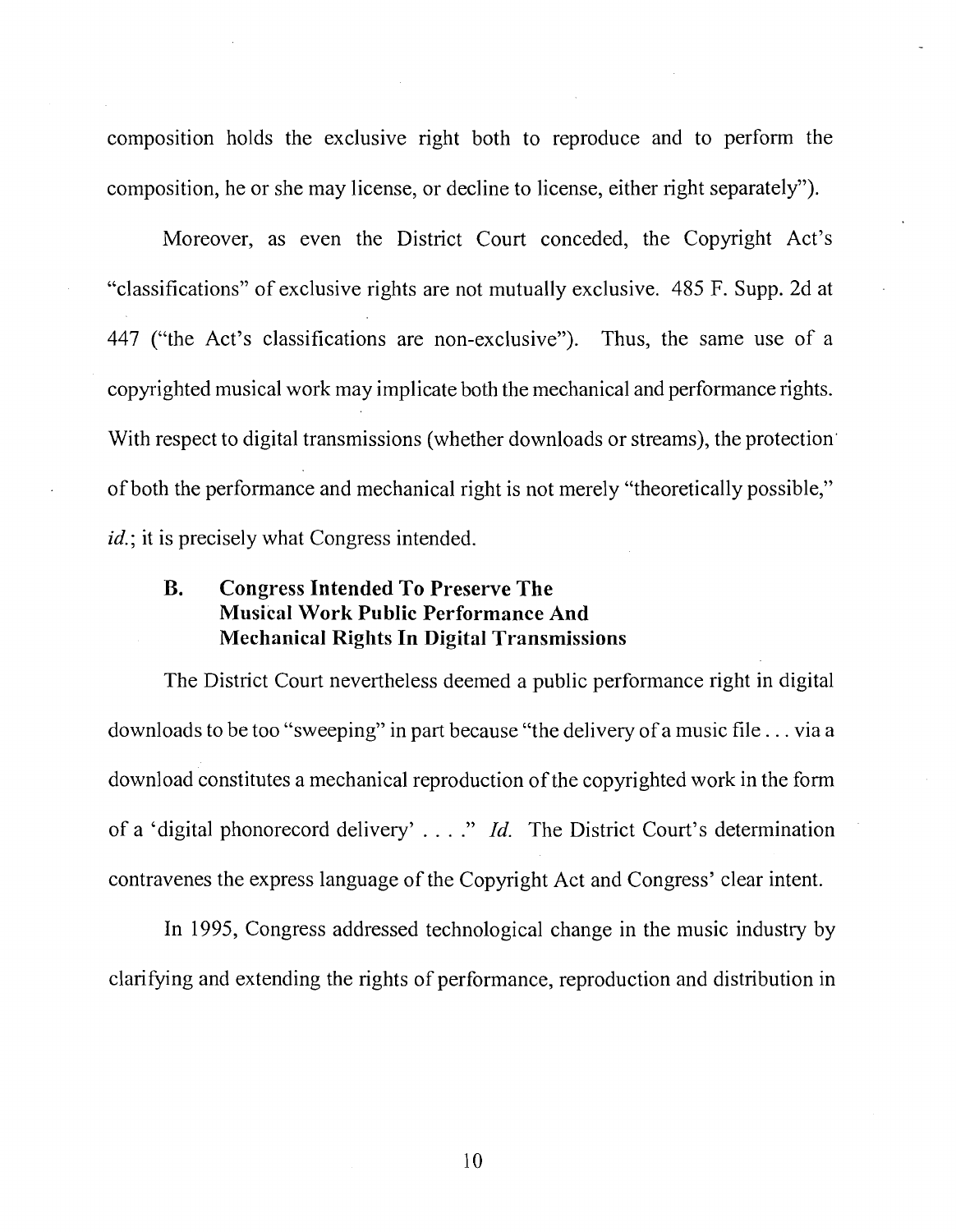composition holds the exclusive right both to reproduce and to perform the composition, he or she may license, or decline to license, either right separately").

Moreover, as even the District Court conceded, the Copyright Act's "classifications" of exclusive rights are not mutually exclusive. 485 F. Supp. 2d at 447 ("the Act's classifications are non-exclusive"). Thus, the same use of a copyrighted musical work may implicate both the mechanical and performance rights. With respect to digital transmissions (whether downloads or streams), the protection' of both the performance and mechanical right is not merely "theoretically possible," id.; it is precisely what Congress intended.

#### **B. Congress Intended To Preserve The Musical Work Public Performance And Mechanical Rights In Digital Transmissions**

The District Court nevertheless deemed a public performance right in digital downloads to be too "sweeping" in part because "the delivery of a music file . . . via a download constitutes a mechanical reproduction of the copyrighted work in the form of a 'digital phonorecord delivery' . . . ." *Id.* The District Court's determination contravenes the express language of the Copyright Act and Congress' clear intent.

In 1995, Congress addressed technological change in the music industry by clarifying and extending the rights of performance, reproduction and distribution in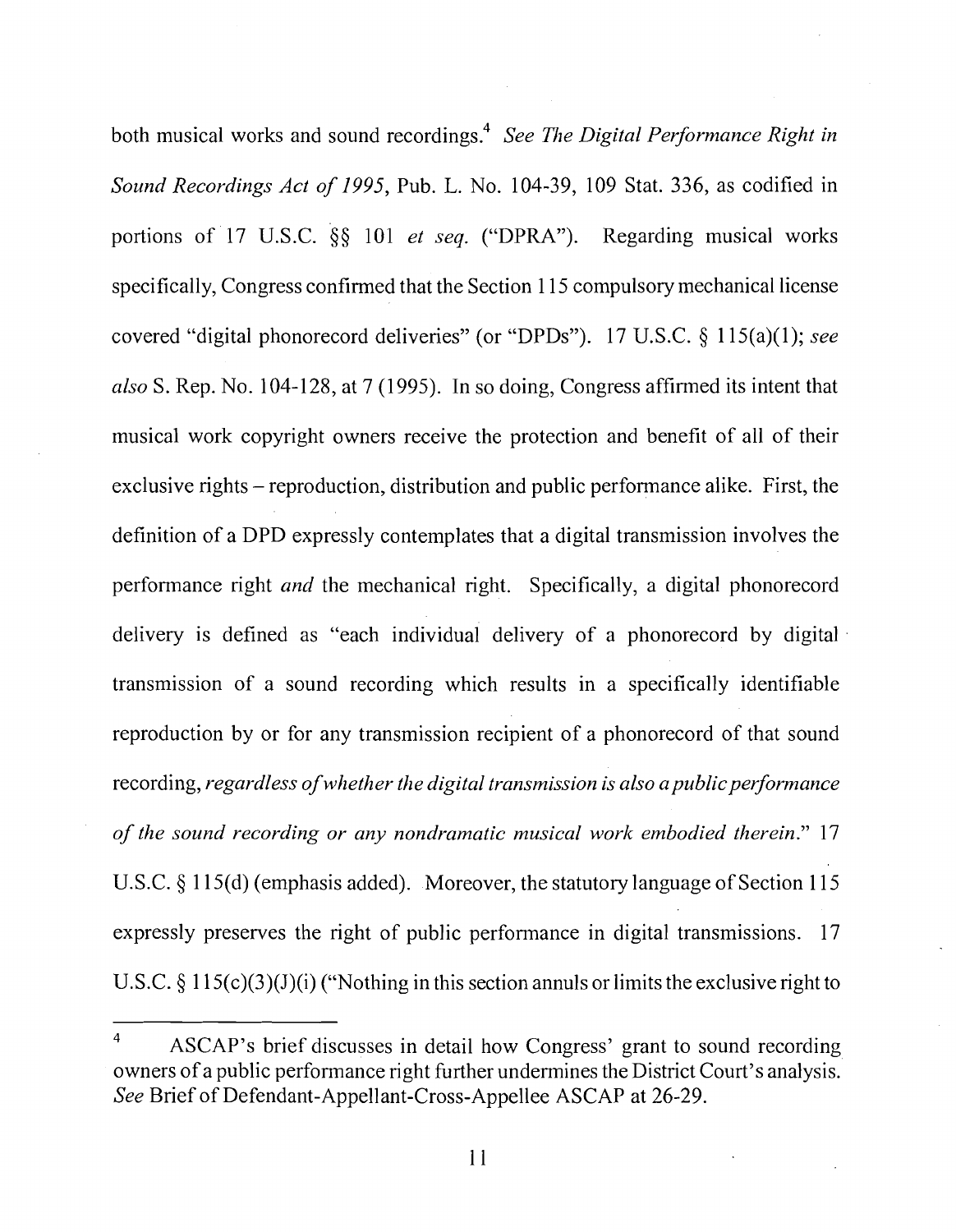both musical works and sound recordings.<sup>4</sup> *See The Digital Performance Right in Sound Recordings Act of 1995,* Pub. *L.* No. 104-39, 109 Stat. 336, as codified in portions of 17 U.S.C. *\$5* 101 *et seq.* ("DPRA"). Regarding musical works specifically, Congress confirmed that the Section 1 15 compulsory mechanical license covered "digital phonorecord deliveries" (or "DPDs"). 17 U.S.C. *5* 1 15(a)(1); *see*  also S. Rep. No. 104-128, at 7 (1995). In so doing, Congress affirmed its intent that musical work copyright owners receive the protection and benefit of all of their exclusive rights – reproduction, distribution and public performance alike. First, the definition of a DPD expressly contemplates that a digital transmission involves the performance right *and* the mechanical right. Specifically, a digital phonorecord delivery is defined as "each individual delivery of a phonorecord by digital transmission of a sound recording which results in a specifically identifiable reproduction by or for any transmission recipient of a phonorecord of that sound recording, *regardless of whether the digital transmission is also a public performance of the sound recording or any nondramatic musical work embodied therein."* 17 U.S.C. **3** 1 15(d) (emphasis added). Moreover, the statutory language of Section 1 15 expressly preserves the right of public performance in digital transmissions. 17 U.S.C. § 115(c)(3)(J)(i) ("Nothing in this section annuls or limits the exclusive right to

<sup>4</sup> ASCAP's brief discusses in detail how Congress' grant to sound recording owners of a public performance right further undermines the District Court's analysis. *See* Brief of Defendant-Appellant-Cross-Appellee ASCAP at 26-29.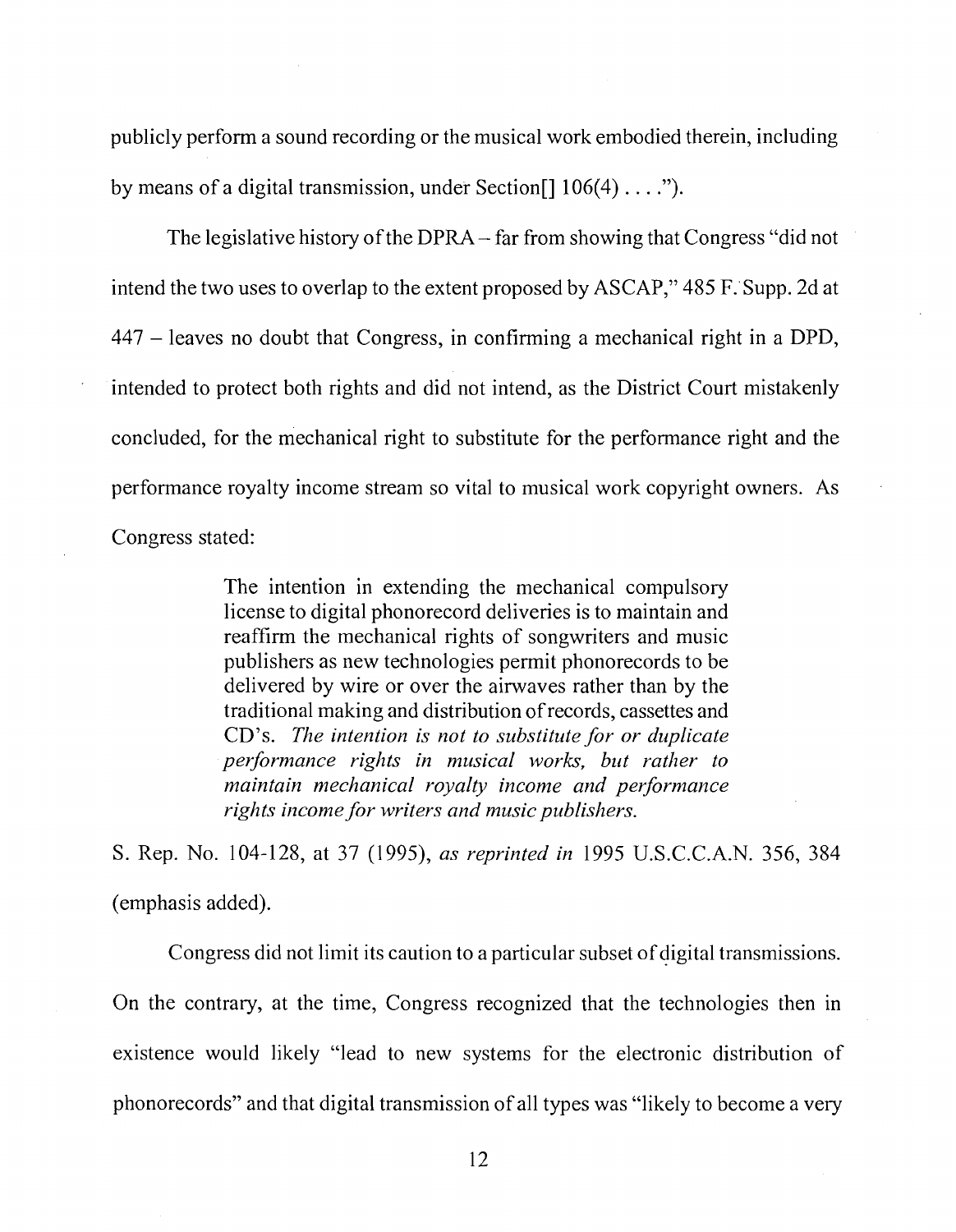publicly perform a sound recording or the musical work embodied therein, including by means of a digital transmission, under Section[] 106(4) . . . .").

The legislative history of the DPRA - far from showing that Congress "did not intend the two uses to overlap to the extent proposed by ASCAP," 485 F. Supp. 2d at <sup>447</sup>- leaves no doubt that Congress, in confirming a mechanical right in a DPD, intended to protect both rights and did not intend, as the District Court mistakenly concluded, for the mechanical right to substitute for the performance right and the performance royalty income stream so vital to musical work copyright owners. As Congress stated:

> The intention in extending the mechanical compulsory license to digital phonorecord deliveries is to maintain and reaffirm the mechanical rights of songwriters and music publishers as new technologies permit phonorecords to be delivered by wire or over the airwaves rather than by the traditional making and distribution of records, cassettes and CD's. *The intention is not to substitute for or duplicate performance rights in musical works, but rather to maintain mechanical royalty income and performance rights income for writers and music publishers.*

S. Rep. No. 104-128, at 37 (1995), *as reprinted in* 1995 U.S.C.C.A.N. 356, 384 (emphasis added).

Congress did not limit its caution to a particular subset of digital transmissions. On the contrary, at the time, Congress recognized that the technologies then in existence would likely "lead to new systems for the electronic distribution of phonorecords" and that digital transmission of all types was "likely to become a very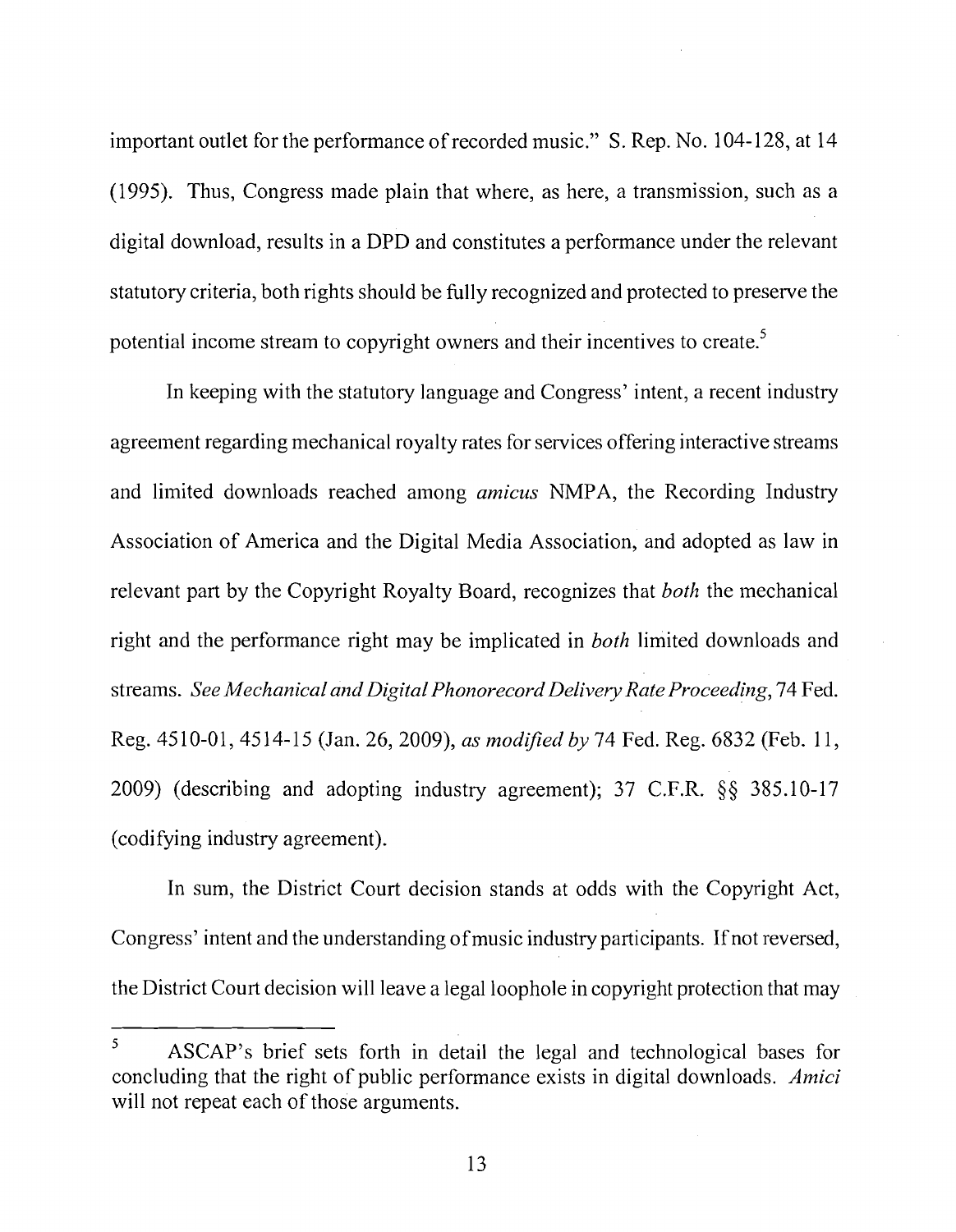important outlet for the performance of recorded music." S. Rep. No. 104-128, at 14 (1995). Thus, Congress made plain that where, as here, a transmission, such as a digital download, results in a DPD and constitutes a performance under the relevant statutory criteria, both rights should be fully recognized and protected to preserve the potential income stream to copyright owners and their incentives to create.<sup>5</sup>

In keeping with the statutory language and Congress' intent, a recent industry agreement regarding mechanical royalty rates for services offering interactive streams and limited downloads reached among *amicus* NMPA, the Recording Industry Association of America and the Digital Media Association, and adopted as law in relevant part by the Copyright Royalty Board, recognizes that *both* the mechanical right and the performance right may be implicated in *both* limited downloads and streams. *See Mechanical and Digital Phonorecord Delivery Rate Proceeding,* 74 Fed. Reg. 4510-01, 4514-15 (Jan. 26, 2009), *as modified by* 74 Fed. Reg. 6832 (Feb. 11, 2009) (describing and adopting industry agreement); 37 C.F.R. §§ 385.10-17 (codifying industry agreement).

In sum, the District Court decision stands at odds with the Copyright Act, Congress' intent and the understanding of music industry participants. If not reversed, the District Court decision will leave a legal loophole in copyright protection that may

**<sup>5</sup>**ASCAP's brief sets forth in detail the legal and technological bases for concluding that the right of public performance exists in digital downloads. *Amici*  will not repeat each of those arguments.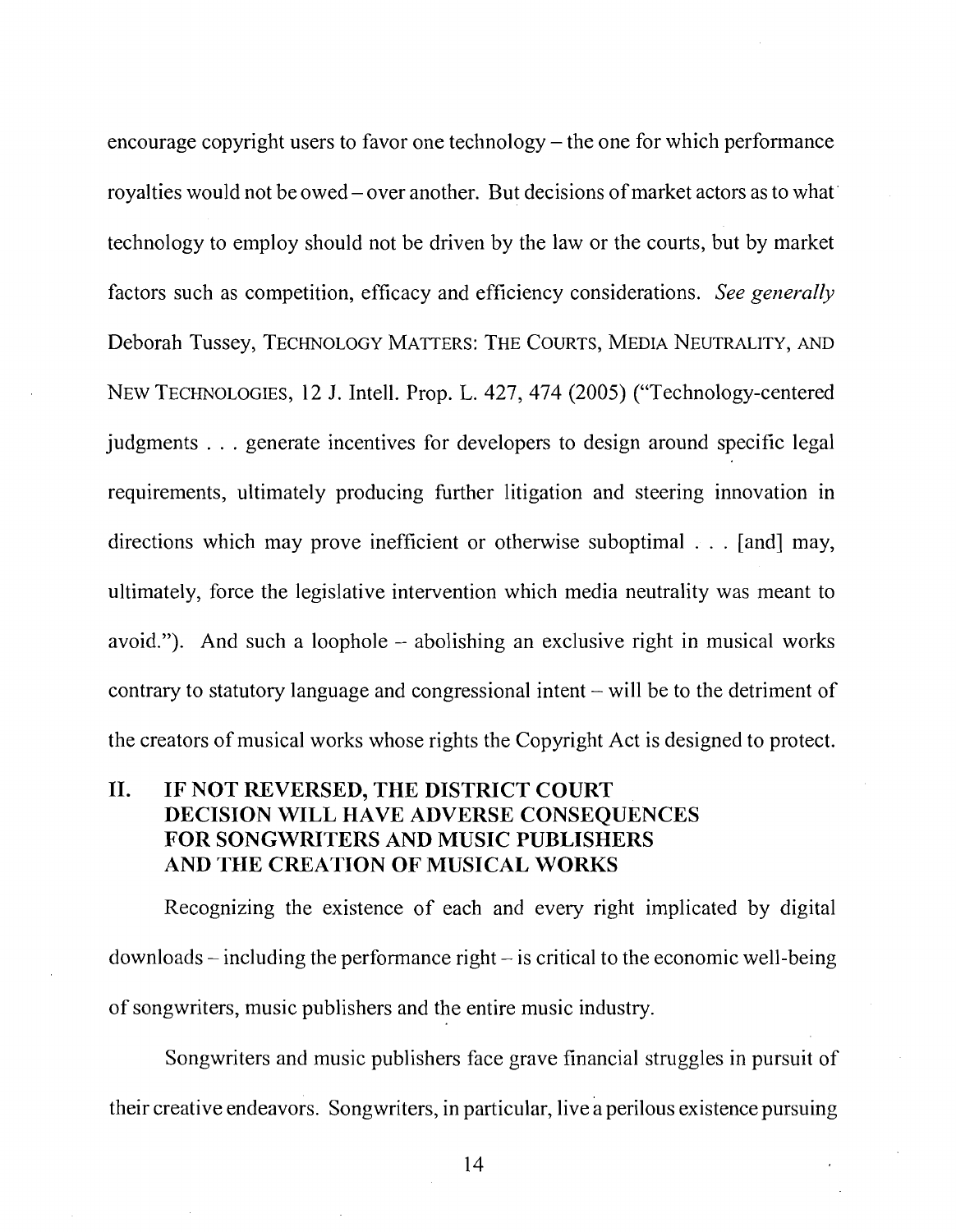encourage copyright users to favor one technology  $-$  the one for which performance royalties would not be owed - over another. But decisions of market actors as to what' technology to employ should not be driven by the law or the courts, but by market factors such as competition, efficacy and efficiency considerations. *See generally*  Deborah Tussey, TECHNOLOGY MATTERS: THE COURTS, MEDIA NEUTRALITY, AND NEW TECHNOLOGIES, 12 J. Intell. Prop. L. 427,474 (2005) ("Technology-centered judgments . . . generate incentives for developers to design around specific legal requirements, ultimately producing further litigation and steering innovation in directions which may prove inefficient or otherwise suboptimal . . . [and] may, ultimately, force the legislative intervention which media neutrality was meant to avoid."). And such a loophole – abolishing an exclusive right in musical works contrary to statutory language and congressional intent  $-\text{ will be to the determinant of }$ the creators of musical works whose rights the Copyright Act is designed to protect.

#### **11. IF NOT REVERSED, THE DISTRICT COURT DECISION WILL HAVE ADVERSE CONSEQUENCES FOR SONGWRITERS AND MUSIC PUBLISHERS AND THE CREATION OF MUSICAL WORKS**

Recognizing the existence of each and every right implicated by digital  $downloads - including the performance right - is critical to the economic well-being$ of songwriters, music publishers and the entire music industry.

Songwriters and music publishers face grave financial struggles in pursuit of their creative endeavors. Songwriters, in particular, live a perilous existence pursuing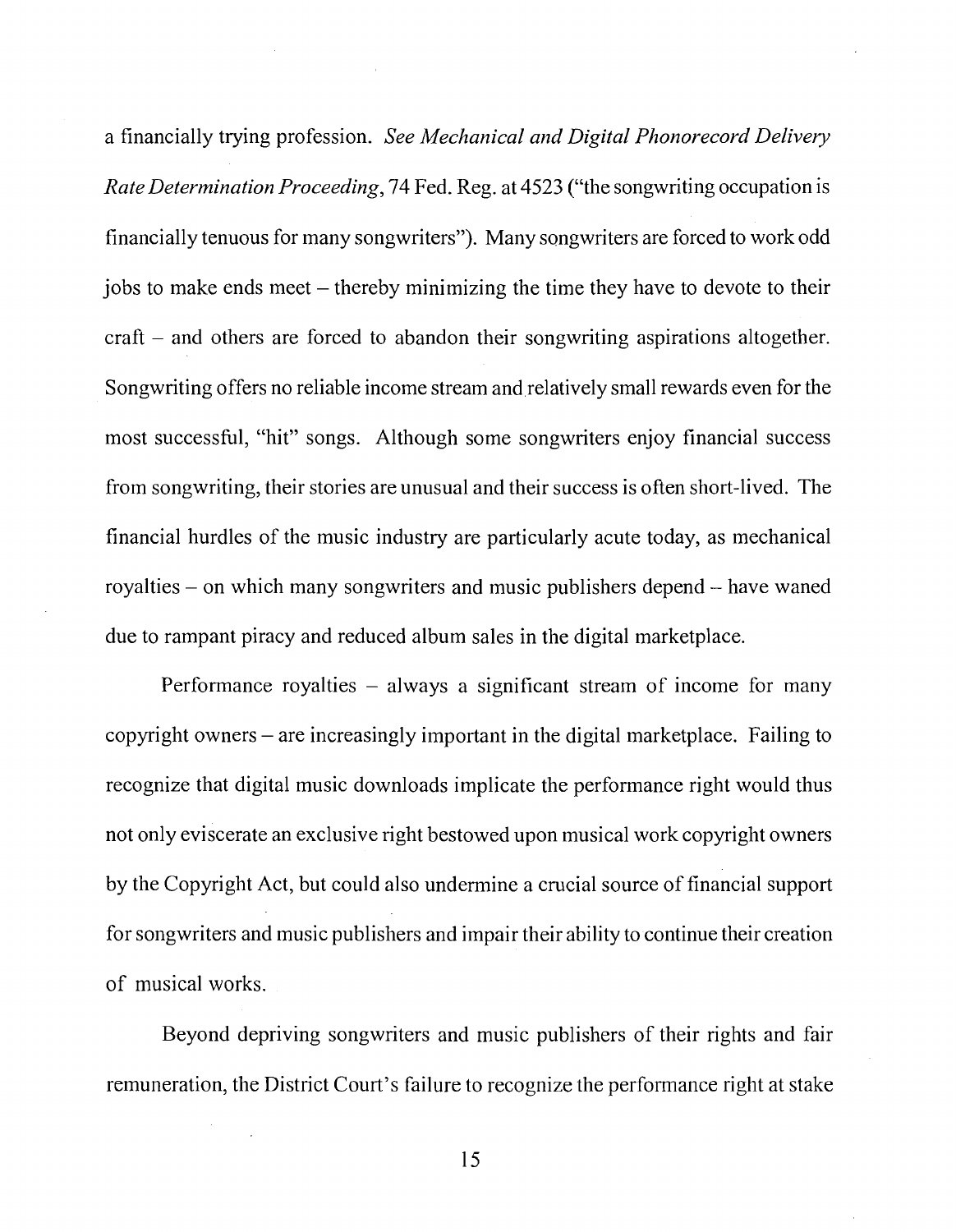a financially trying profession. See Mechanical and Digital Phonorecord Delivery Rate Determination Proceeding, 74 Fed. Reg. at 4523 ("the songwriting occupation is financially tenuous for many songwriters"). Many songwriters are forced to work odd jobs to make ends meet – thereby minimizing the time they have to devote to their craft - and others are forced to abandon their songwriting aspirations altogether. Songwriting offers no reliable income stream and relatively small rewards even for the most successhl, "hit" songs. Although some songwriters enjoy financial success from songwriting, their stories are unusual and their success is often short-lived. The financial hurdles of the music industry are particularly acute today, as mechanical royalties – on which many songwriters and music publishers depend – have waned due to rampant piracy and reduced album sales in the digital marketplace.

Performance royalties  $-$  always a significant stream of income for many copyright owners - are increasingly important in the digital marketplace. Failing to recognize that digital music downloads implicate the performance right would thus not only eviscerate an exclusive right bestowed upon musical work copyright owners by the Copyright Act, but could also undermine a crucial source of financial support for songwriters and music publishers and impair their ability to continue their creation of musical works.

Beyond depriving songwriters and music publishers of their rights and fair remuneration, the District Court's failure to recognize the performance right at stake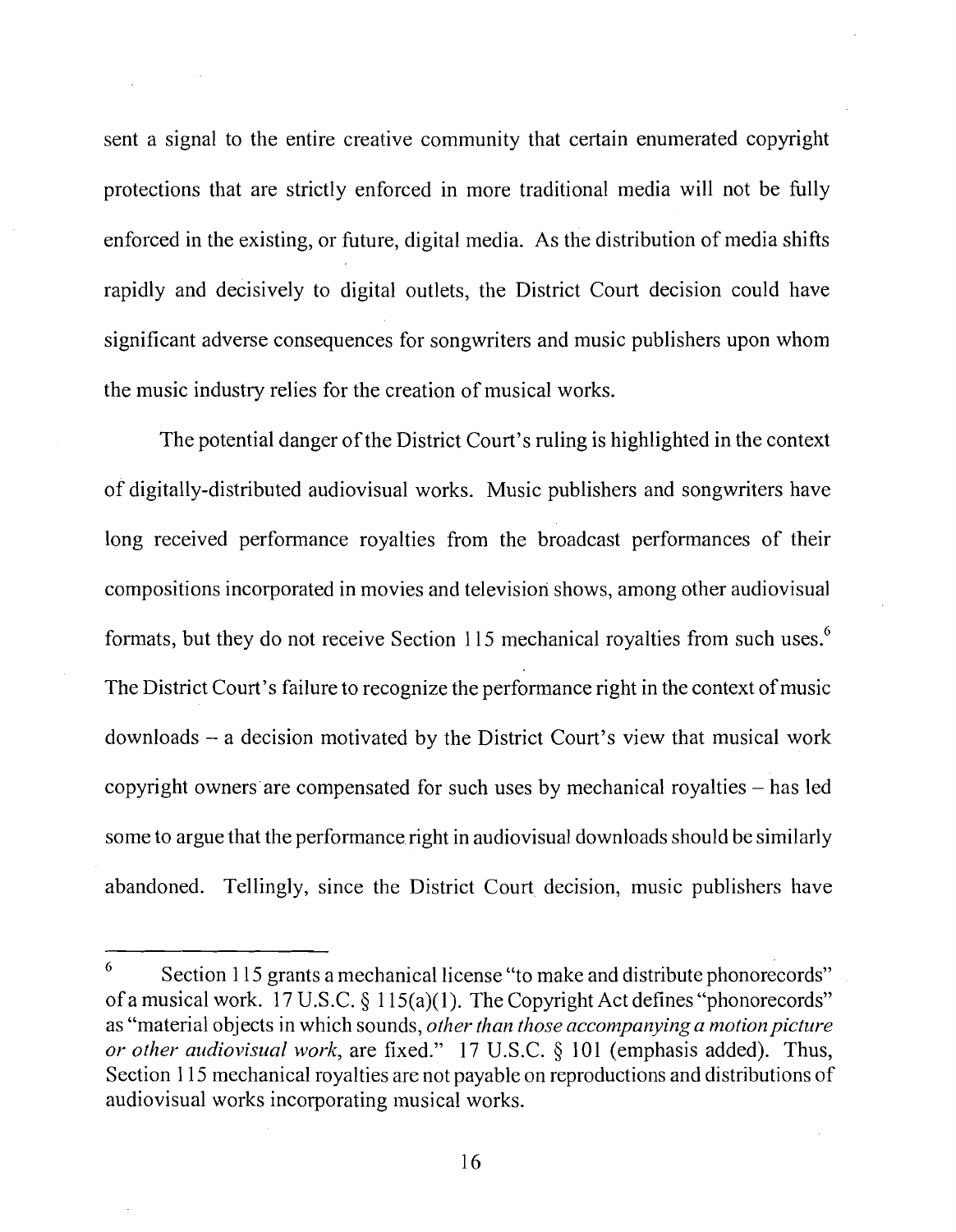sent a signal to the entire creative community that certain enumerated copyright protections that are strictly enforced in more traditional media will not be fully enforced in the existing, or future, digital media. As the distribution of media shifts rapidly and decisively to digital outlets, the District Court decision could have significant adverse consequences for songwriters and music publishers upon whom the music industry relies for the creation of musical works.

The potential danger of the District Court's ruling is highlighted in the context of digitally-distributed audiovisual works. Music publishers and songwriters have long received performance royalties from the broadcast performances of their compositions incorporated in movies and television shows, among other audiovisual formats, but they do not receive Section 115 mechanical royalties from such uses.6 The District Court's failure to recognize the performance right in the context of music downloads - a decision motivated by the District Court's view that musical work copyright owners are compensated for such uses by mechanical royalties – has led some to argue that the performance right in audiovisual downloads should be similarly abandoned. Tellingly, since the District Court decision, music publishers have

 $6$  Section 115 grants a mechanical license "to make and distribute phonorecords" of a musical work. 17 U.S.C.  $\S$  115(a)(1). The Copyright Act defines "phonorecords" as "material objects in which sounds, *other than those accompanying a motion picture or other atldiovisual work,* are fixed." 17 U.S.C. *5* 101 (emphasis added). Thus, Section 1 15 mechanical royalties are not payable on reproductions and distributions of audiovisual works incorporating musical works.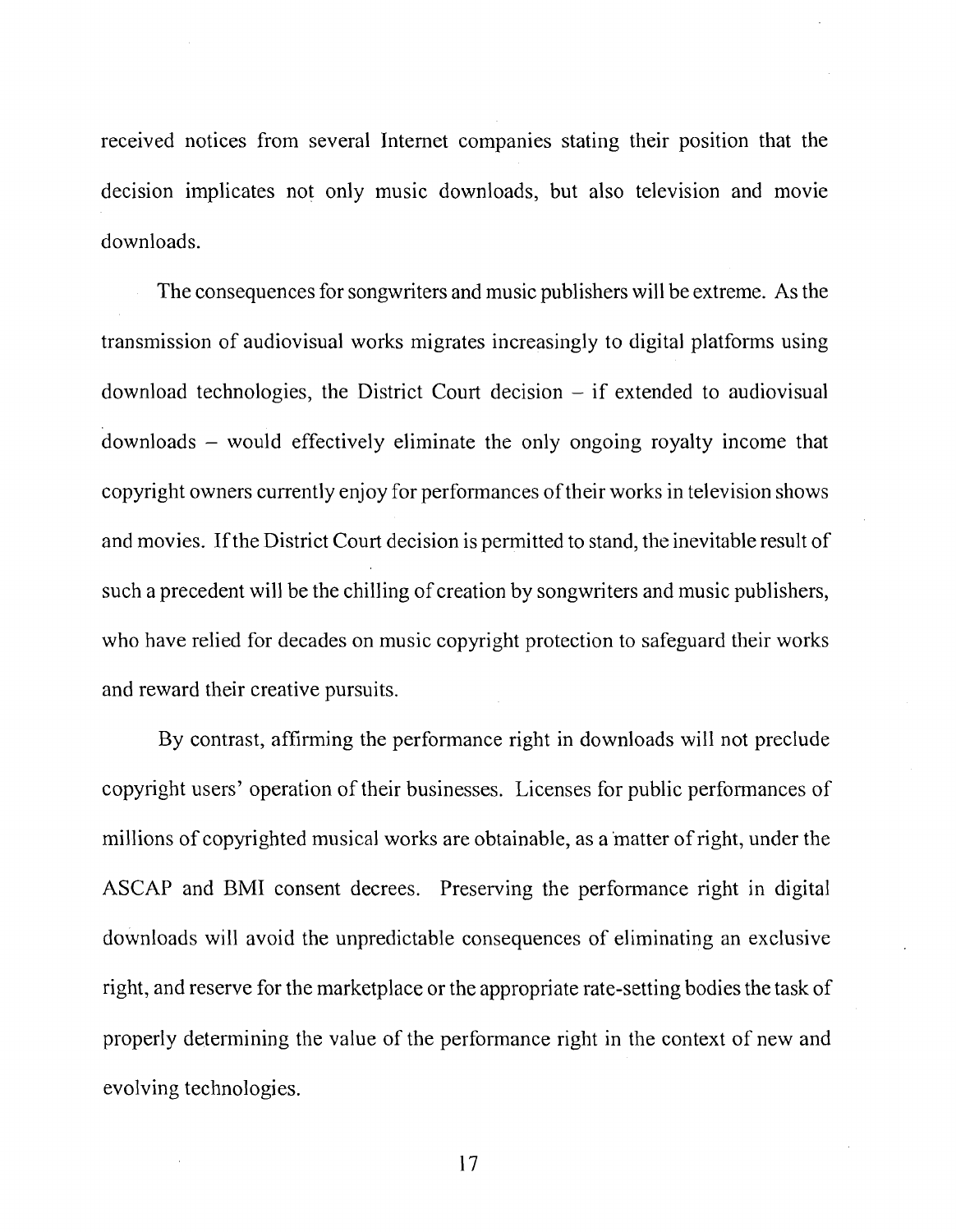received notices from several Internet companies stating their position that the decision implicates not only music downloads, but also television and movie downloads.

The consequences for songwriters and music publishers will be extreme. As the transmission of audiovisual works migrates increasingly to digital platforms using download technologies, the District Court decision  $-$  if extended to audiovisual downloads - would effectively eliminate the only ongoing royalty income that copyright owners currently enjoy for performances of their works in television shows and movies. If the District Court decision is permitted to stand, the inevitable result of such a precedent will be the chilling of creation by songwriters and music publishers, who have relied for decades on music copyright protection to safeguard their works and reward their creative pursuits.

By contrast, affirming the performance right in downloads will not preclude copyright users' operation of their businesses. Licenses for public performances of millions of copyrighted musical works are obtainable, as a matter of right, under the ASCAP and BMI consent decrees. Preserving the performance right in digital downloads will avoid the unpredictable consequences of eliminating an exclusive right, and reserve for the marketplace or the appropriate rate-setting bodies the task of properly determining the value of the performance right in the context of new and evolving technologies.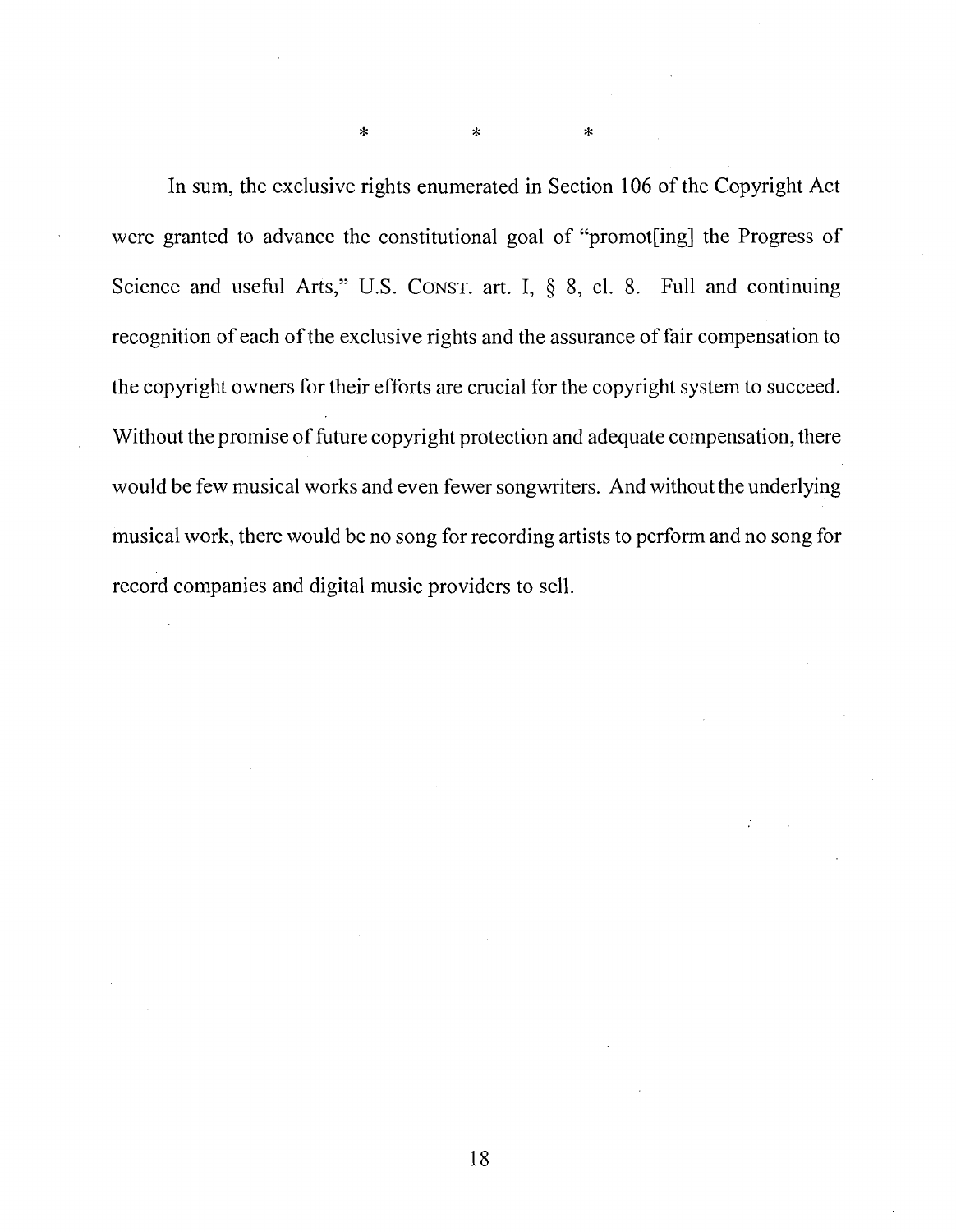In sum, the exclusive rights enumerated in Section 106 of the Copyright Act were granted to advance the constitutional goal of "promot[ing] the Progress of Science and useful Arts," U.S. CONST. art. I,  $\S$  8, cl. 8. Full and continuing recognition of each of the exclusive rights and the assurance of fair compensation to the copyright owners for their efforts are crucial for the copyright system to succeed. Without the promise of future copyright protection and adequate compensation, there would be few musical works and even fewer songwriters. And without the underlying musical work, there would be no song for recording artists to perform and no song for record companies and digital music providers to sell.

 $\star$ 

 $\ast$ 

 $\star$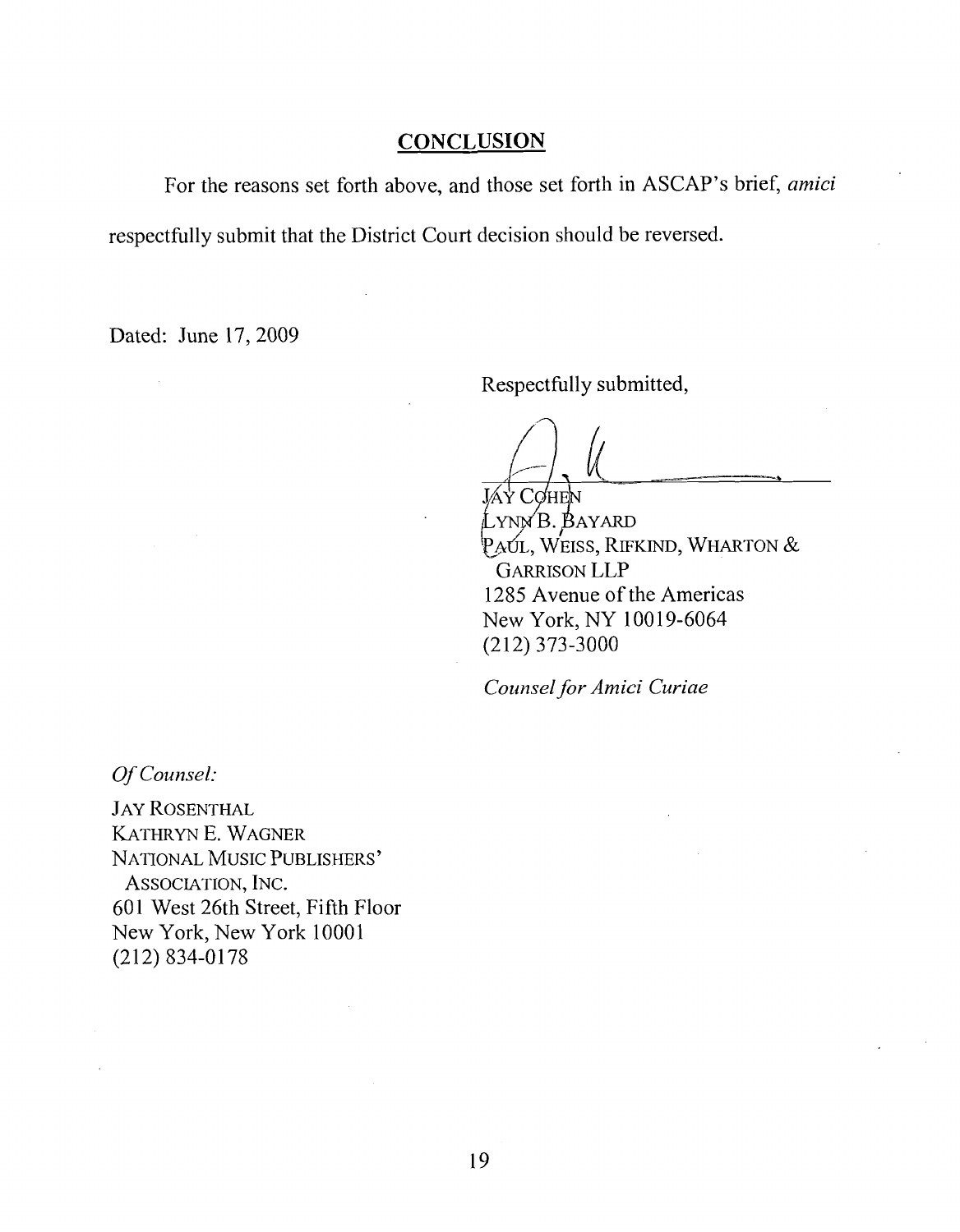#### **CONCLUSION**

For the reasons set forth above, and those set forth in ASCAP's brief, **amici** 

respectfully submit that the District Court decision should be reversed.

Dated: June 17,2009

Respectfully submitted,

LYNNB. BAYARD  $P_A$ úl, Weiss, Rifkind, Wharton & GARRISON LLP 1285 Avenue of the Americas New York, NY 10019-6064 (2 12) 373-3000

*Cozrnsel for Amici Curiae* 

*Of Counsel:* 

JAY ROSENTHAL KATHRYN E. WAGNER NATIONAL MUSIC PUBLISHERS' ASSOCIATION, INC. 601 West 26th Street, Fifth Floor New York, New York 1000 1 (212) 834-0178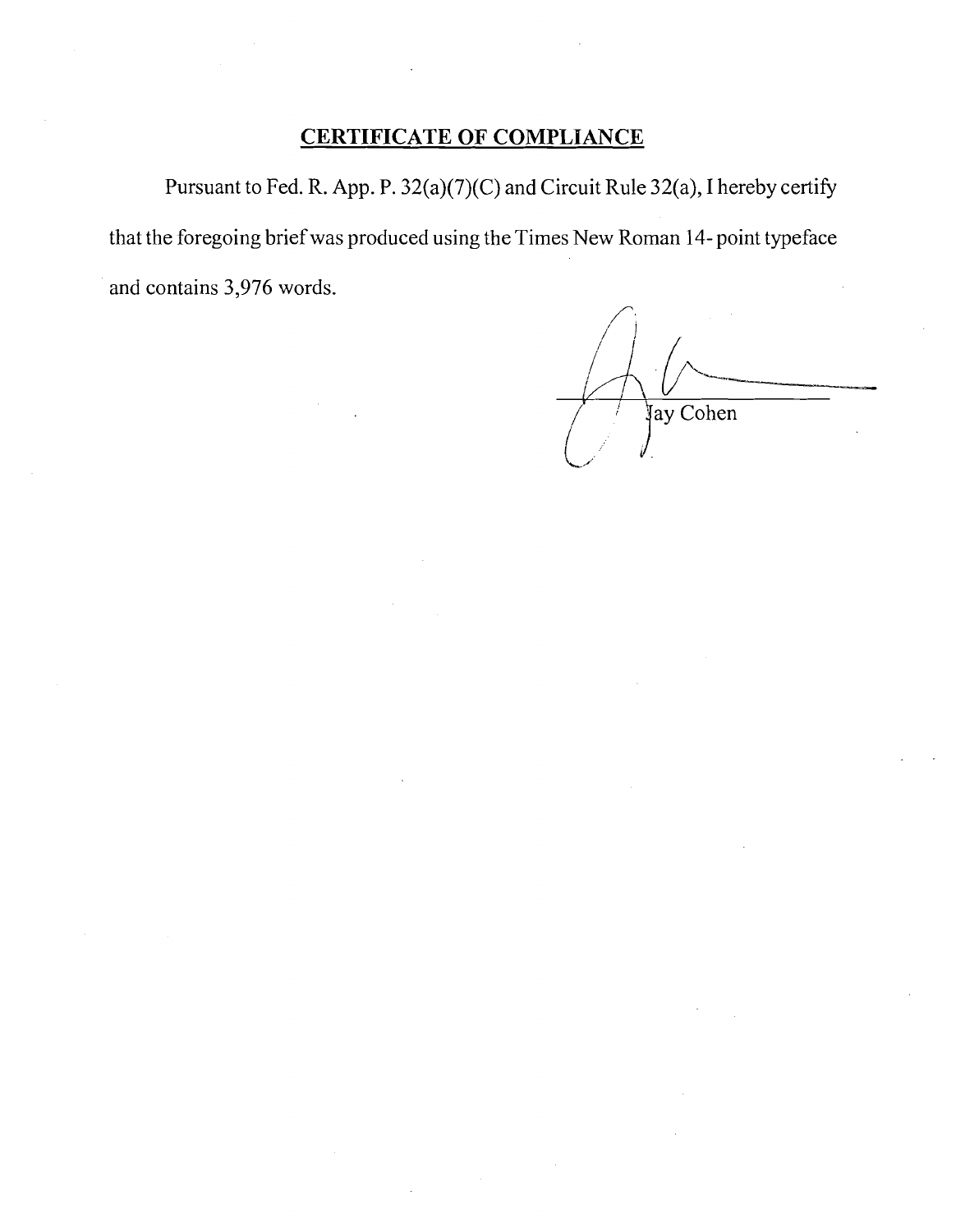## **CERTIFICATE OF COMPLIANCE**

Pursuant to Fed. R. App. P. 32(a)(7)(C) and Circuit Rule 32(a), I hereby certify that the foregoing brief was produced using the Times New Roman 14- point typeface and contains 3,976 words.

 $\sqrt{1}$ **I** *I*  Jay Cohen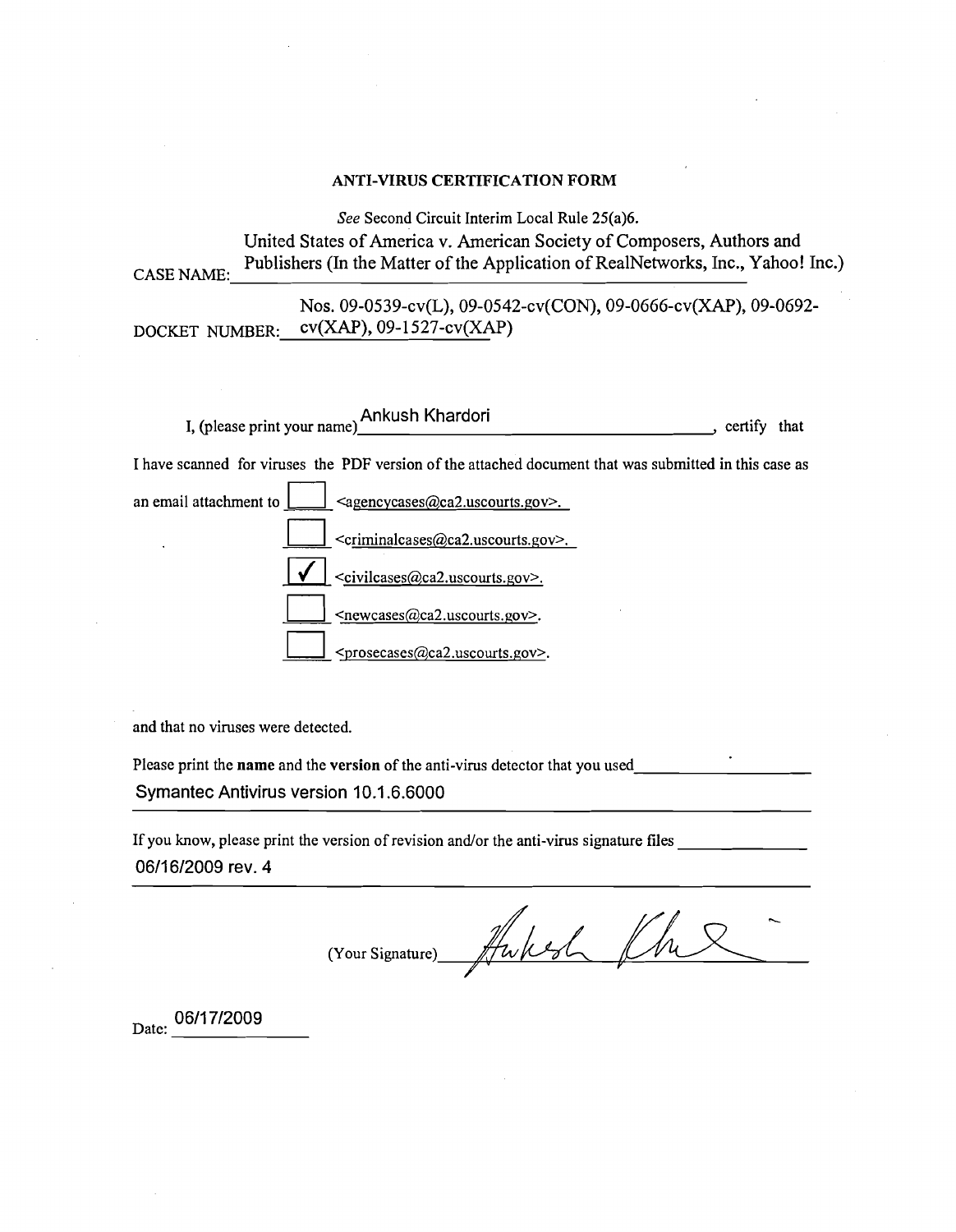#### ANTI-VIRUS CERTIFICATION FORM

*See* Second Circuit Interim Local Rule 25(a)6. United States of America v. American Society of Composers, Authors and Publishers (In the Matter of the Application of RealNetworks, Inc., Yahoo! Inc.) CASE NAME: NOS. 09-0539-CV(L), 09-0542-CV(CON), 09-0666-CV(XAP), 09-0692- DOCKET NUMBER:  $cv(XAP)$ , 09-1527- $cv(XAP)$ I, (please print your name) Ankush Khardori , certify that I have scanned for viruses the PDF version of the attached document that was submitted in this case as an email attachment to  $\Box$  <agencycases@ca2.uscourts.gov>. I have scanned for viruses the PDF version of the attached document that was submitted in this case as  $\langle \text{agencycases}(\text{Qca2.uscounts.gov}\rangle)$ <br> $\langle \text{criminalcases}(\text{Qca2.uscounts.gov}\rangle)$ . <civilcases@ca2.uscourts.gov>.

and that no viruses were detected.

Please print the **name** and the **version** of the anti-virus detector that you used Syrnantec Antivirus version 10.1.6.6000

<newcases@ca2.uscourts.gov>.

<prosecases@ca2.uscourts.gov>.

If you know, please print the version of revision and/or the anti-virus signature files 0611 612009 rev. **4** 

**h**  (Your Signature) **Y** 

Date: 06/17/2009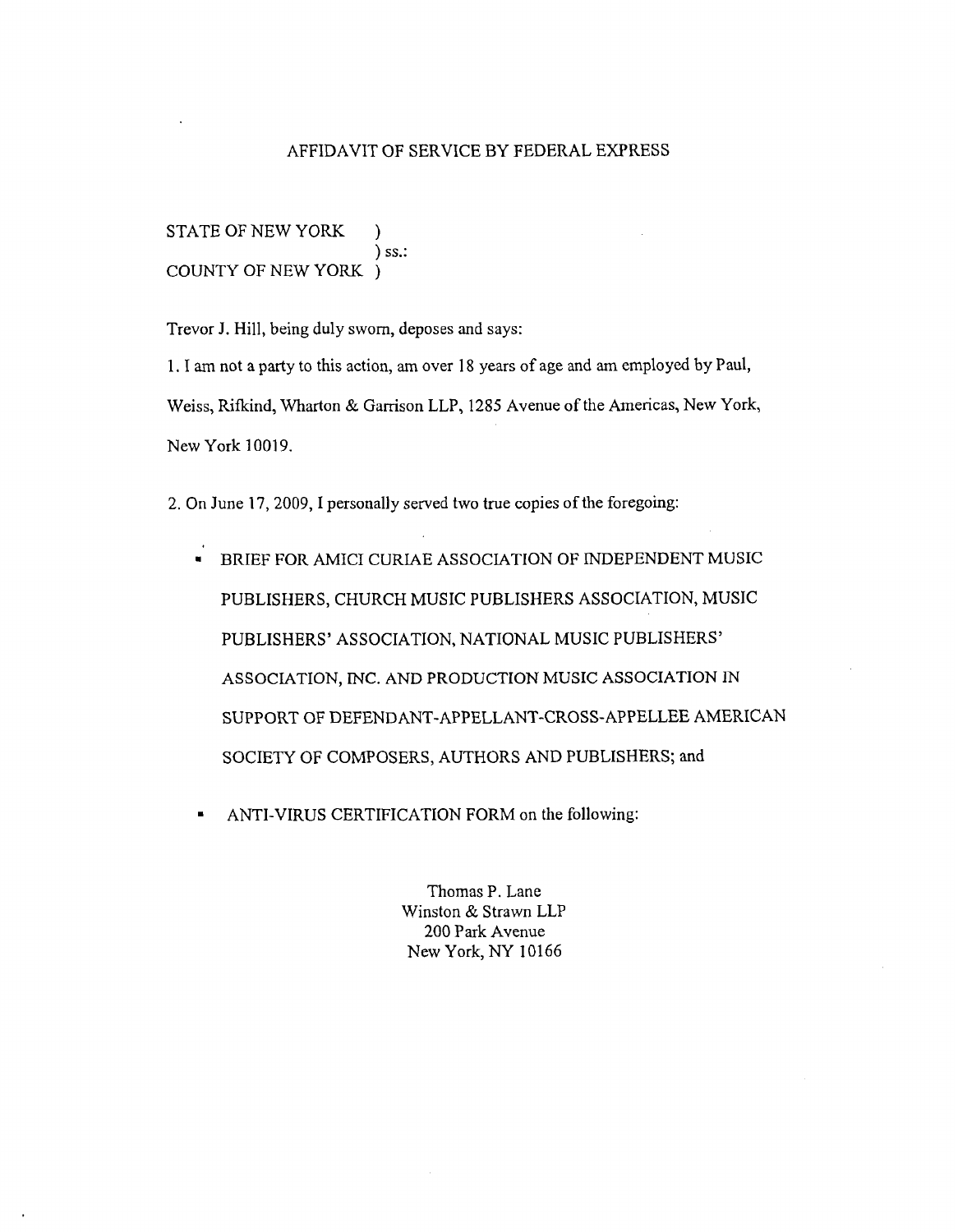#### AFFIDAVIT OF SERVICE BY FEDERAL EXPRESS

STATE OF NEW YORK ) ) ss.: COUNTY OF NEW YORK )

Trevor J. Hill, being duly sworn, deposes and says:

1. I am not a party to this action, am over 18 years of age and am employed by Paul, Weiss, Rifkind, Wharton & Garrison LLP, 1285 Avenue of the Americas, New York, New York 10019.

2. On June 17,2009, I personally served two true copies of the foregoing:

- BRIEF FOR AMICI CURIAE ASSOCIATION OF INDEPENDENT MUSIC PUBLISHERS, CHURCH MUSIC PUBLISHERS ASSOCIATION, MUSIC PUBLISHERS' ASSOCIATION, NATIONAL MUSIC PUBLISHERS' ASSOCIATION, MC. AND PRODUCTION MUSIC ASSOCIATION IN SUPPORT OF **DEFENDANT-APPELLANT-CROSS-APPELLEE** AMERICAN SOCIETY OF COMPOSERS, AUTHORS AND PUBLISHERS; and
- ANTI-VIRUS CERTIFICATION FORM on the following:  $\blacksquare$

Thomas P. Lane Winston & Strawn LLP 200 Park Avenue New York, NY 10166